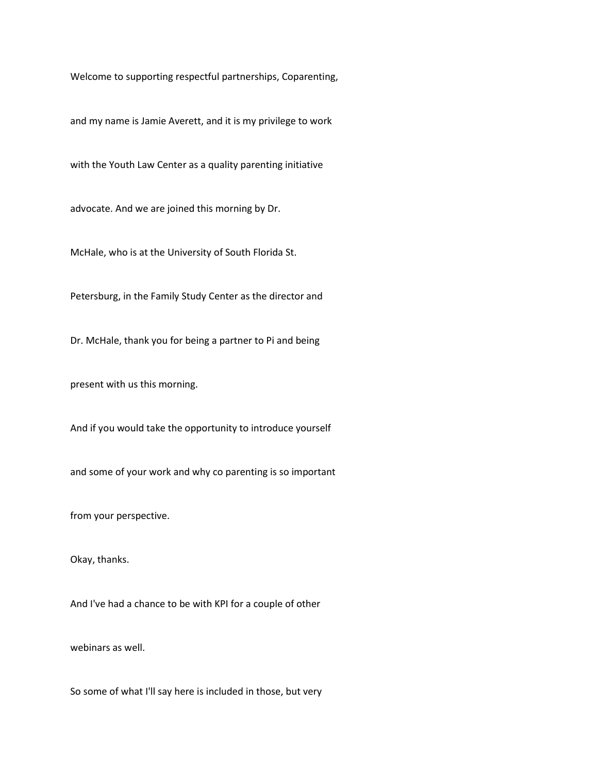Welcome to supporting respectful partnerships, Coparenting,

and my name is Jamie Averett, and it is my privilege to work

with the Youth Law Center as a quality parenting initiative

advocate. And we are joined this morning by Dr.

McHale, who is at the University of South Florida St.

Petersburg, in the Family Study Center as the director and

Dr. McHale, thank you for being a partner to Pi and being

present with us this morning.

And if you would take the opportunity to introduce yourself

and some of your work and why co parenting is so important

from your perspective.

Okay, thanks.

And I've had a chance to be with KPI for a couple of other

webinars as well.

So some of what I'll say here is included in those, but very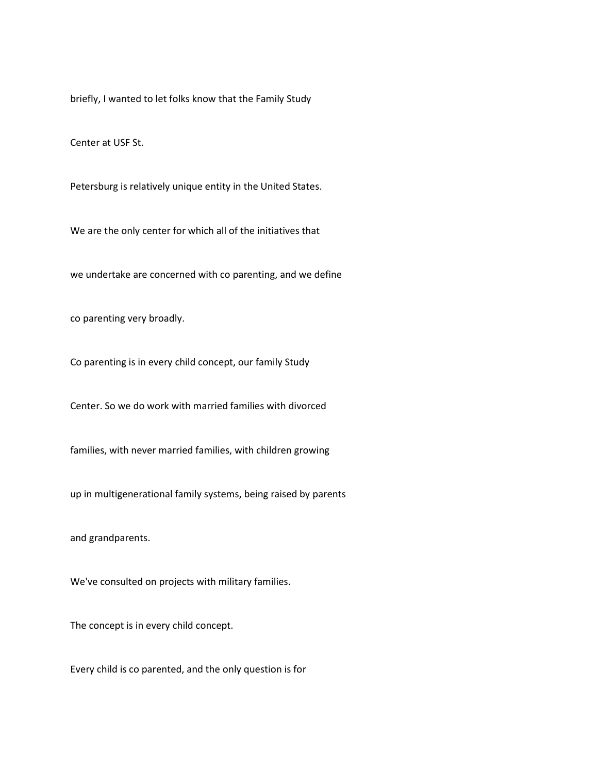briefly, I wanted to let folks know that the Family Study

Center at USF St.

Petersburg is relatively unique entity in the United States.

We are the only center for which all of the initiatives that

we undertake are concerned with co parenting, and we define

co parenting very broadly.

Co parenting is in every child concept, our family Study

Center. So we do work with married families with divorced

families, with never married families, with children growing

up in multigenerational family systems, being raised by parents

and grandparents.

We've consulted on projects with military families.

The concept is in every child concept.

Every child is co parented, and the only question is for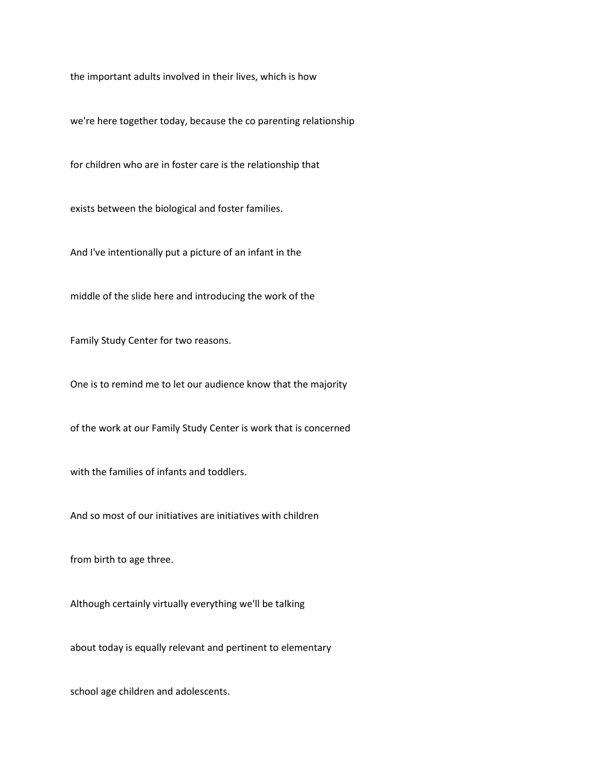the important adults involved in their lives, which is how

we're here together today, because the co parenting relationship

for children who are in foster care is the relationship that

exists between the biological and foster families.

And I've intentionally put a picture of an infant in the

middle of the slide here and introducing the work of the

Family Study Center for two reasons.

One is to remind me to let our audience know that the majority

of the work at our Family Study Center is work that is concerned

with the families of infants and toddlers.

And so most of our initiatives are initiatives with children

from birth to age three.

Although certainly virtually everything we'll be talking

about today is equally relevant and pertinent to elementary

school age children and adolescents.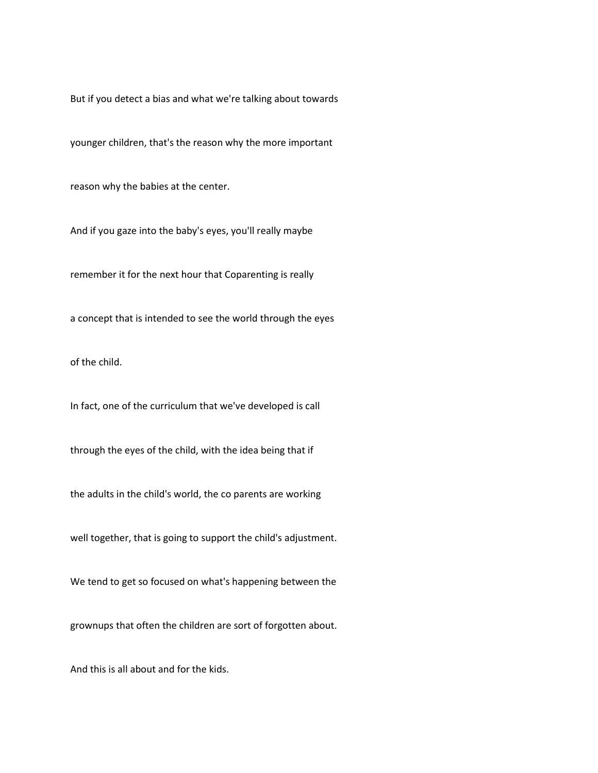But if you detect a bias and what we're talking about towards

younger children, that's the reason why the more important

reason why the babies at the center.

And if you gaze into the baby's eyes, you'll really maybe

remember it for the next hour that Coparenting is really

a concept that is intended to see the world through the eyes

of the child.

In fact, one of the curriculum that we've developed is call

through the eyes of the child, with the idea being that if

the adults in the child's world, the co parents are working

well together, that is going to support the child's adjustment.

We tend to get so focused on what's happening between the

grownups that often the children are sort of forgotten about.

And this is all about and for the kids.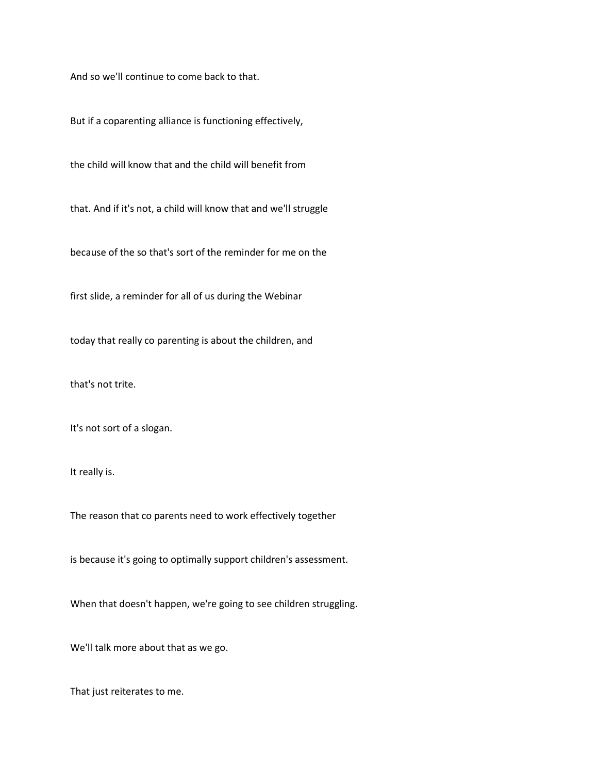And so we'll continue to come back to that.

But if a coparenting alliance is functioning effectively,

the child will know that and the child will benefit from

that. And if it's not, a child will know that and we'll struggle

because of the so that's sort of the reminder for me on the

first slide, a reminder for all of us during the Webinar

today that really co parenting is about the children, and

that's not trite.

It's not sort of a slogan.

It really is.

The reason that co parents need to work effectively together

is because it's going to optimally support children's assessment.

When that doesn't happen, we're going to see children struggling.

We'll talk more about that as we go.

That just reiterates to me.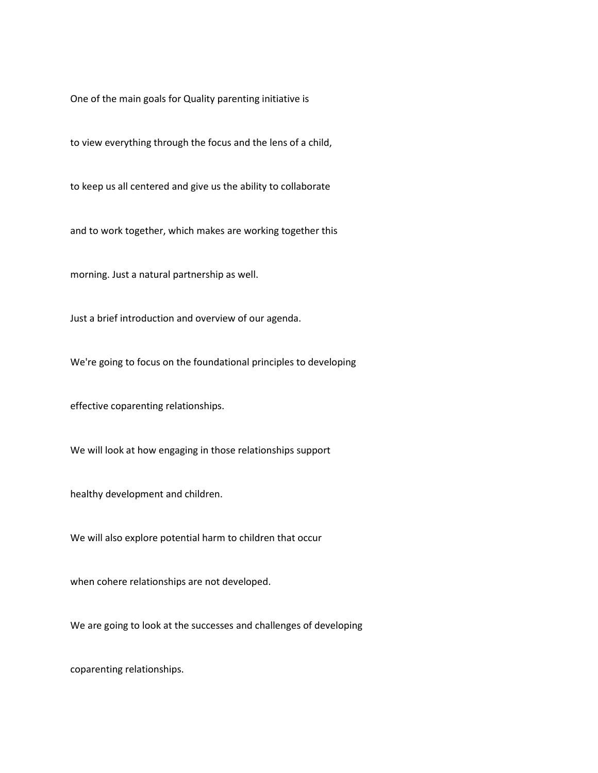One of the main goals for Quality parenting initiative is

to view everything through the focus and the lens of a child,

to keep us all centered and give us the ability to collaborate

and to work together, which makes are working together this

morning. Just a natural partnership as well.

Just a brief introduction and overview of our agenda.

We're going to focus on the foundational principles to developing

effective coparenting relationships.

We will look at how engaging in those relationships support

healthy development and children.

We will also explore potential harm to children that occur

when cohere relationships are not developed.

We are going to look at the successes and challenges of developing

coparenting relationships.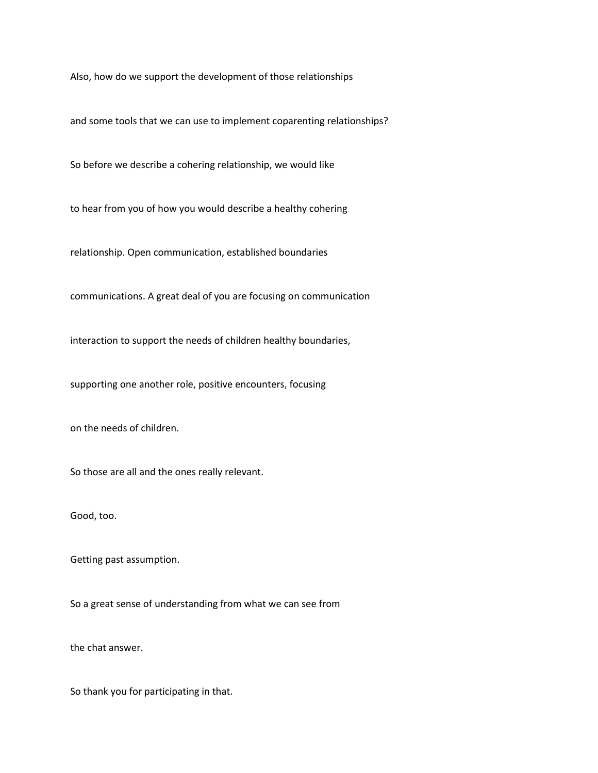Also, how do we support the development of those relationships

and some tools that we can use to implement coparenting relationships?

So before we describe a cohering relationship, we would like

to hear from you of how you would describe a healthy cohering

relationship. Open communication, established boundaries

communications. A great deal of you are focusing on communication

interaction to support the needs of children healthy boundaries,

supporting one another role, positive encounters, focusing

on the needs of children.

So those are all and the ones really relevant.

Good, too.

Getting past assumption.

So a great sense of understanding from what we can see from

the chat answer.

So thank you for participating in that.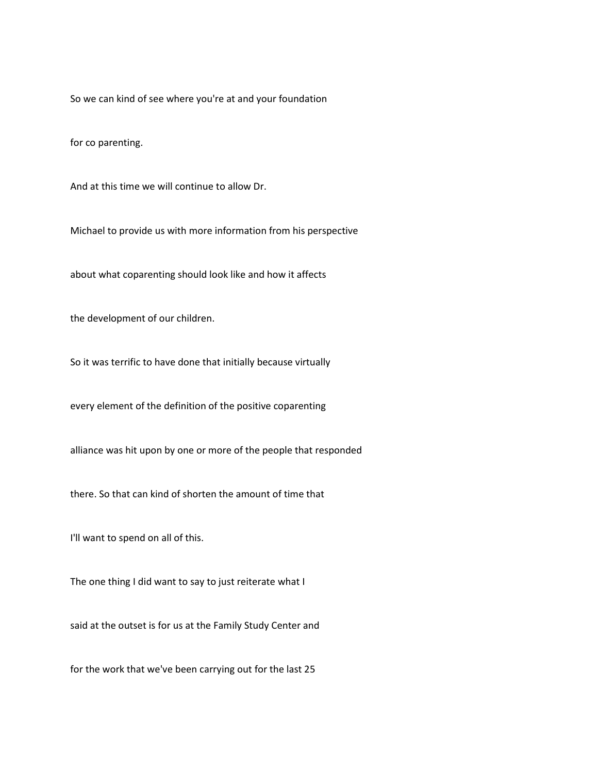So we can kind of see where you're at and your foundation

for co parenting.

And at this time we will continue to allow Dr.

Michael to provide us with more information from his perspective

about what coparenting should look like and how it affects

the development of our children.

So it was terrific to have done that initially because virtually

every element of the definition of the positive coparenting

alliance was hit upon by one or more of the people that responded

there. So that can kind of shorten the amount of time that

I'll want to spend on all of this.

The one thing I did want to say to just reiterate what I

said at the outset is for us at the Family Study Center and

for the work that we've been carrying out for the last 25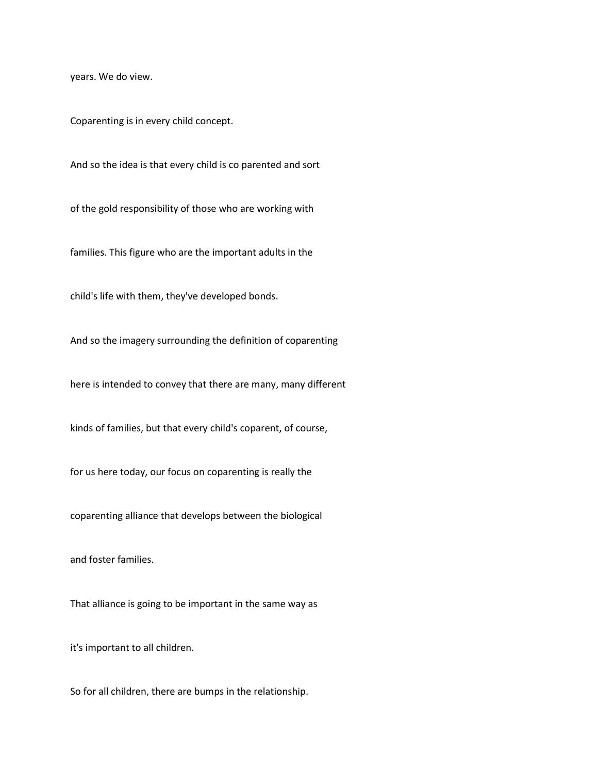years. We do view.

Coparenting is in every child concept.

And so the idea is that every child is co parented and sort

of the gold responsibility of those who are working with

families. This figure who are the important adults in the

child's life with them, they've developed bonds.

And so the imagery surrounding the definition of coparenting

here is intended to convey that there are many, many different

kinds of families, but that every child's coparent, of course,

for us here today, our focus on coparenting is really the

coparenting alliance that develops between the biological

and foster families.

That alliance is going to be important in the same way as

it's important to all children.

So for all children, there are bumps in the relationship.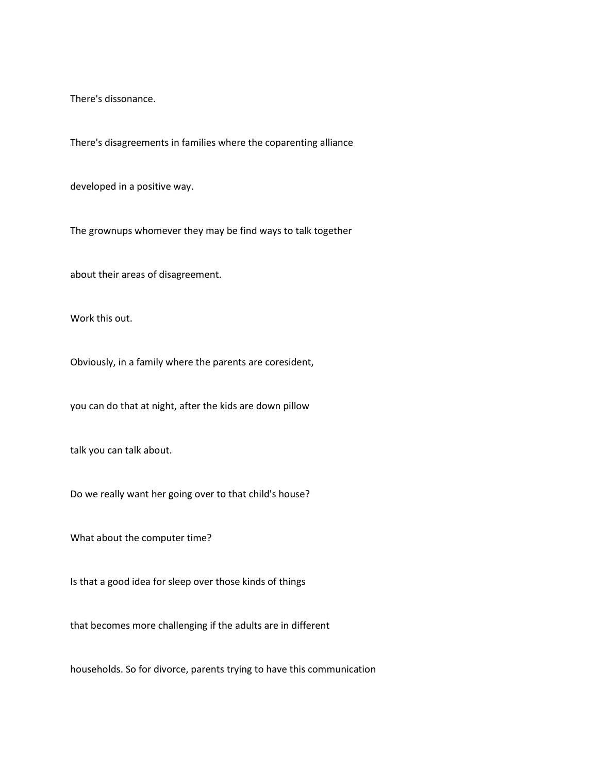There's dissonance.

There's disagreements in families where the coparenting alliance

developed in a positive way.

The grownups whomever they may be find ways to talk together

about their areas of disagreement.

Work this out.

Obviously, in a family where the parents are coresident,

you can do that at night, after the kids are down pillow

talk you can talk about.

Do we really want her going over to that child's house?

What about the computer time?

Is that a good idea for sleep over those kinds of things

that becomes more challenging if the adults are in different

households. So for divorce, parents trying to have this communication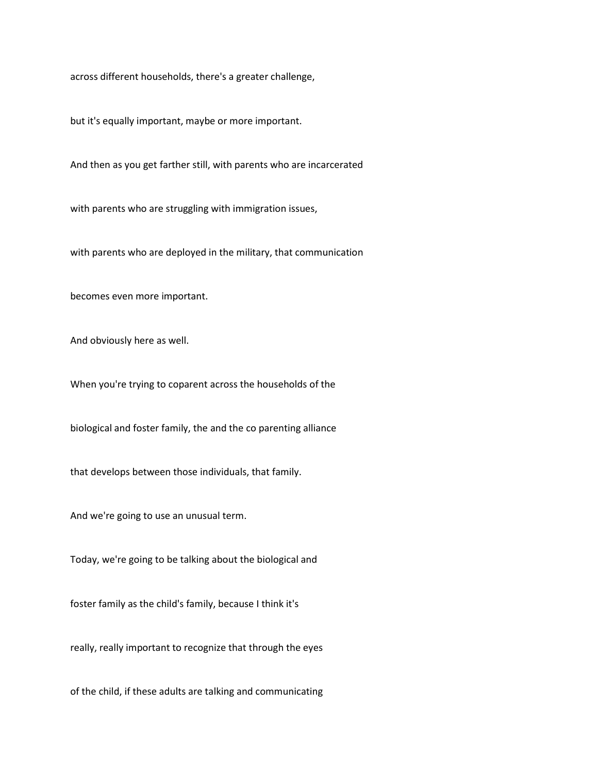across different households, there's a greater challenge,

but it's equally important, maybe or more important.

And then as you get farther still, with parents who are incarcerated

with parents who are struggling with immigration issues,

with parents who are deployed in the military, that communication

becomes even more important.

And obviously here as well.

When you're trying to coparent across the households of the

biological and foster family, the and the co parenting alliance

that develops between those individuals, that family.

And we're going to use an unusual term.

Today, we're going to be talking about the biological and

foster family as the child's family, because I think it's

really, really important to recognize that through the eyes

of the child, if these adults are talking and communicating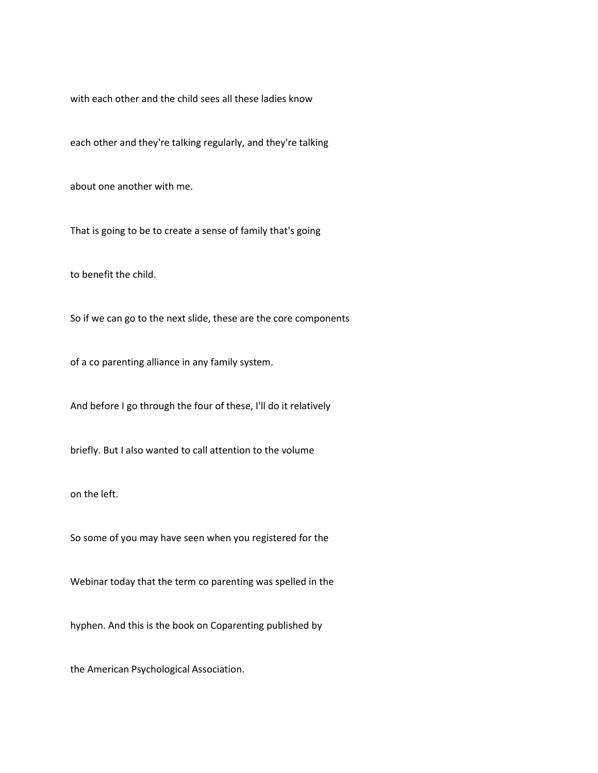with each other and the child sees all these ladies know

each other and they're talking regularly, and they're talking

about one another with me.

That is going to be to create a sense of family that's going

to benefit the child.

So if we can go to the next slide, these are the core components

of a co parenting alliance in any family system.

And before I go through the four of these, I'll do it relatively

briefly. But I also wanted to call attention to the volume

on the left.

So some of you may have seen when you registered for the

Webinar today that the term co parenting was spelled in the

hyphen. And this is the book on Coparenting published by

the American Psychological Association.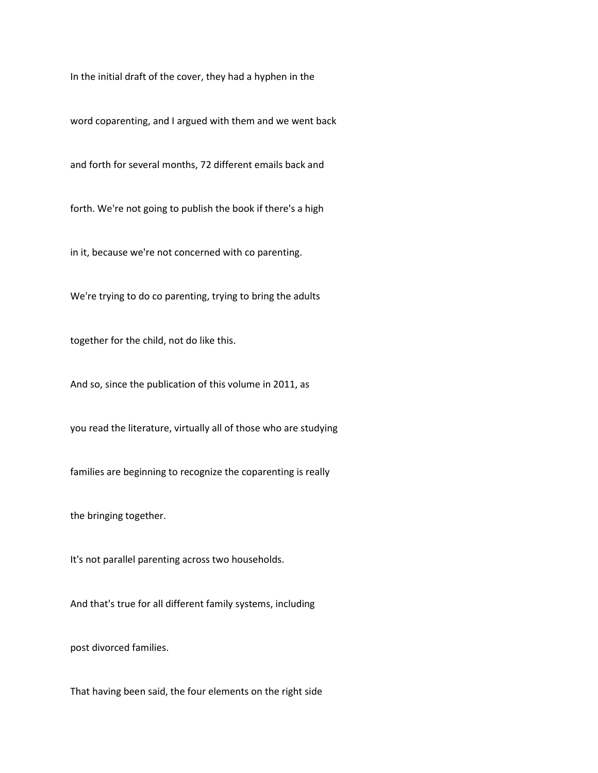In the initial draft of the cover, they had a hyphen in the

word coparenting, and I argued with them and we went back

and forth for several months, 72 different emails back and

forth. We're not going to publish the book if there's a high

in it, because we're not concerned with co parenting.

We're trying to do co parenting, trying to bring the adults

together for the child, not do like this.

And so, since the publication of this volume in 2011, as

you read the literature, virtually all of those who are studying

families are beginning to recognize the coparenting is really

the bringing together.

It's not parallel parenting across two households.

And that's true for all different family systems, including

post divorced families.

That having been said, the four elements on the right side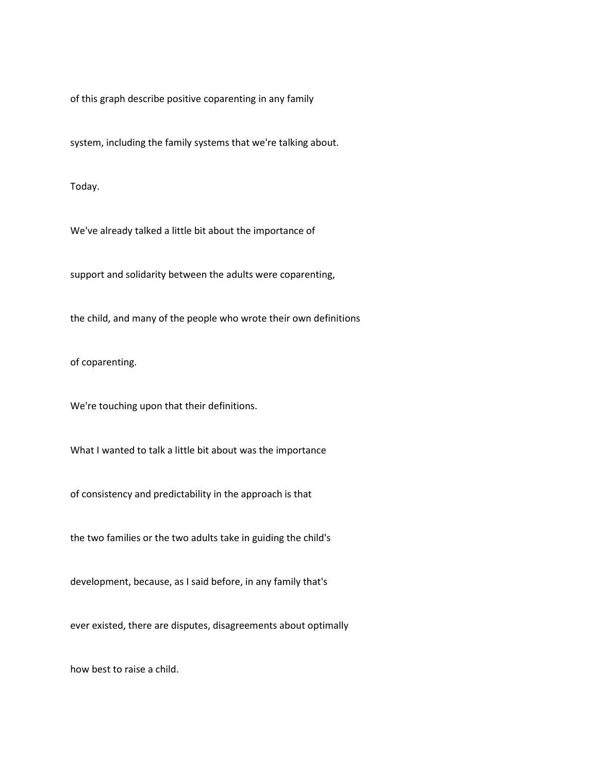of this graph describe positive coparenting in any family

system, including the family systems that we're talking about.

Today.

We've already talked a little bit about the importance of

support and solidarity between the adults were coparenting,

the child, and many of the people who wrote their own definitions

of coparenting.

We're touching upon that their definitions.

What I wanted to talk a little bit about was the importance

of consistency and predictability in the approach is that

the two families or the two adults take in guiding the child's

development, because, as I said before, in any family that's

ever existed, there are disputes, disagreements about optimally

how best to raise a child.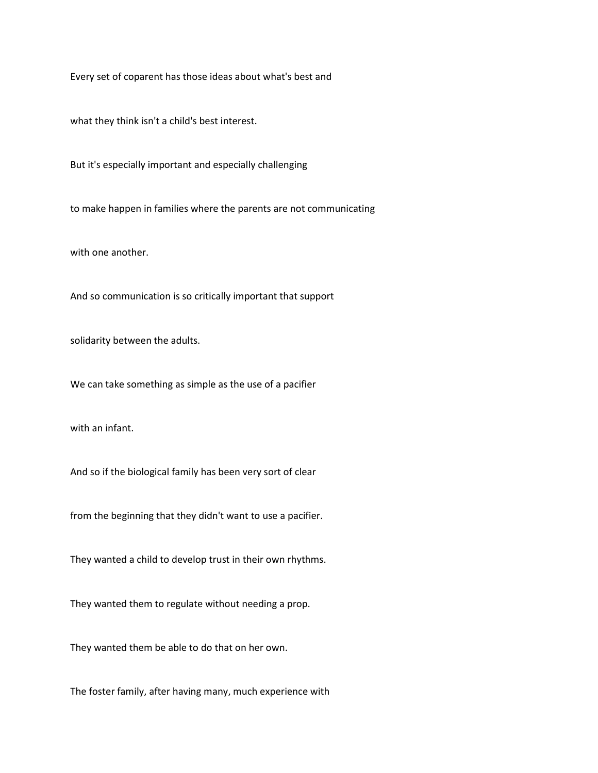Every set of coparent has those ideas about what's best and

what they think isn't a child's best interest.

But it's especially important and especially challenging

to make happen in families where the parents are not communicating

with one another.

And so communication is so critically important that support

solidarity between the adults.

We can take something as simple as the use of a pacifier

with an infant.

And so if the biological family has been very sort of clear

from the beginning that they didn't want to use a pacifier.

They wanted a child to develop trust in their own rhythms.

They wanted them to regulate without needing a prop.

They wanted them be able to do that on her own.

The foster family, after having many, much experience with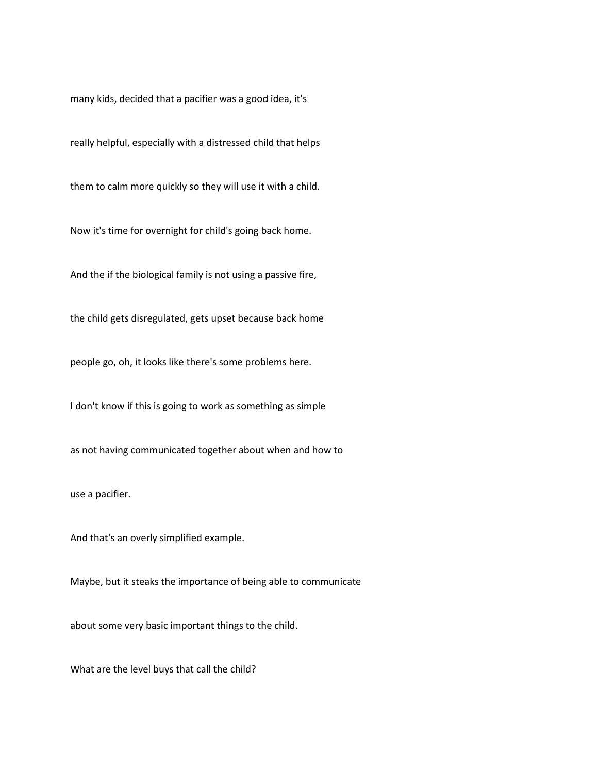many kids, decided that a pacifier was a good idea, it's

really helpful, especially with a distressed child that helps

them to calm more quickly so they will use it with a child.

Now it's time for overnight for child's going back home.

And the if the biological family is not using a passive fire,

the child gets disregulated, gets upset because back home

people go, oh, it looks like there's some problems here.

I don't know if this is going to work as something as simple

as not having communicated together about when and how to

use a pacifier.

And that's an overly simplified example.

Maybe, but it steaks the importance of being able to communicate

about some very basic important things to the child.

What are the level buys that call the child?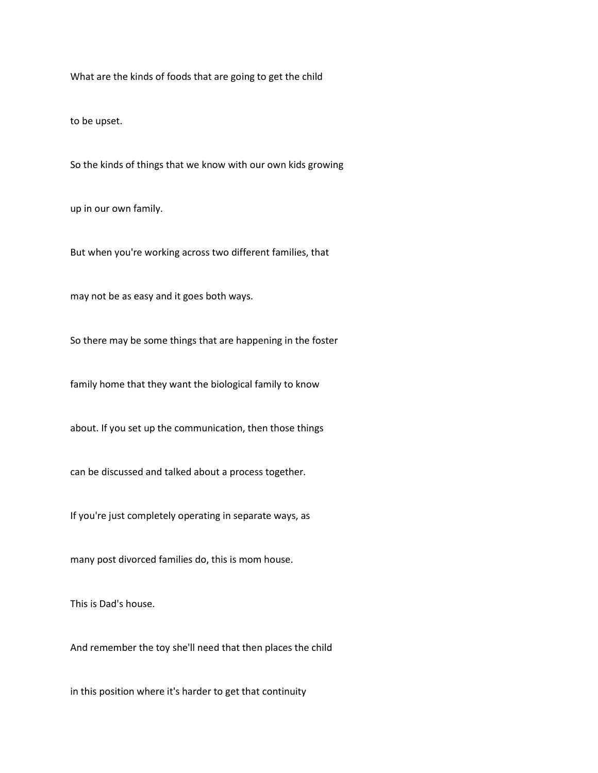What are the kinds of foods that are going to get the child

to be upset.

So the kinds of things that we know with our own kids growing

up in our own family.

But when you're working across two different families, that

may not be as easy and it goes both ways.

So there may be some things that are happening in the foster

family home that they want the biological family to know

about. If you set up the communication, then those things

can be discussed and talked about a process together.

If you're just completely operating in separate ways, as

many post divorced families do, this is mom house.

This is Dad's house.

And remember the toy she'll need that then places the child

in this position where it's harder to get that continuity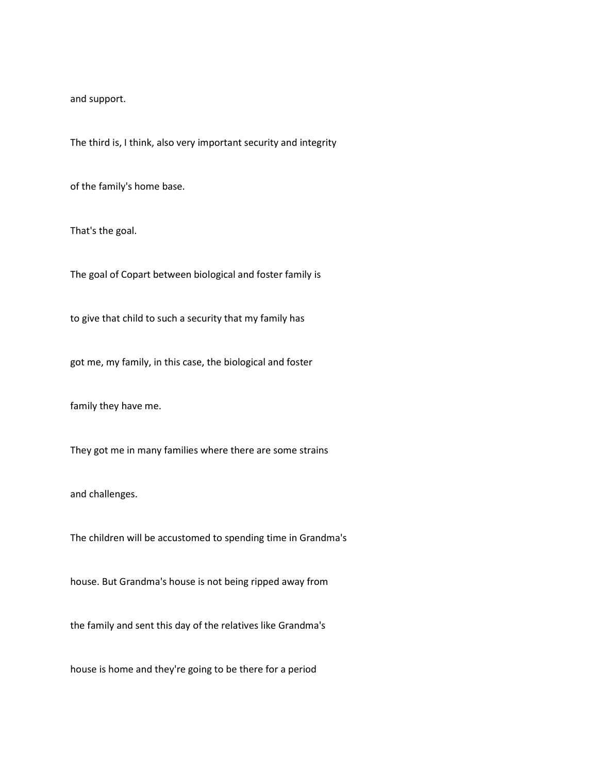and support.

The third is, I think, also very important security and integrity

of the family's home base.

That's the goal.

The goal of Copart between biological and foster family is

to give that child to such a security that my family has

got me, my family, in this case, the biological and foster

family they have me.

They got me in many families where there are some strains

and challenges.

The children will be accustomed to spending time in Grandma's

house. But Grandma's house is not being ripped away from

the family and sent this day of the relatives like Grandma's

house is home and they're going to be there for a period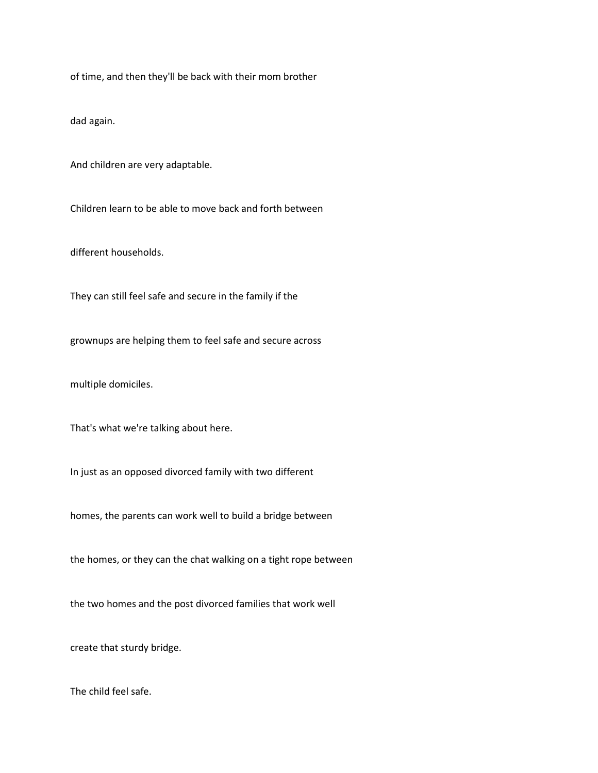of time, and then they'll be back with their mom brother

dad again.

And children are very adaptable.

Children learn to be able to move back and forth between

different households.

They can still feel safe and secure in the family if the

grownups are helping them to feel safe and secure across

multiple domiciles.

That's what we're talking about here.

In just as an opposed divorced family with two different

homes, the parents can work well to build a bridge between

the homes, or they can the chat walking on a tight rope between

the two homes and the post divorced families that work well

create that sturdy bridge.

The child feel safe.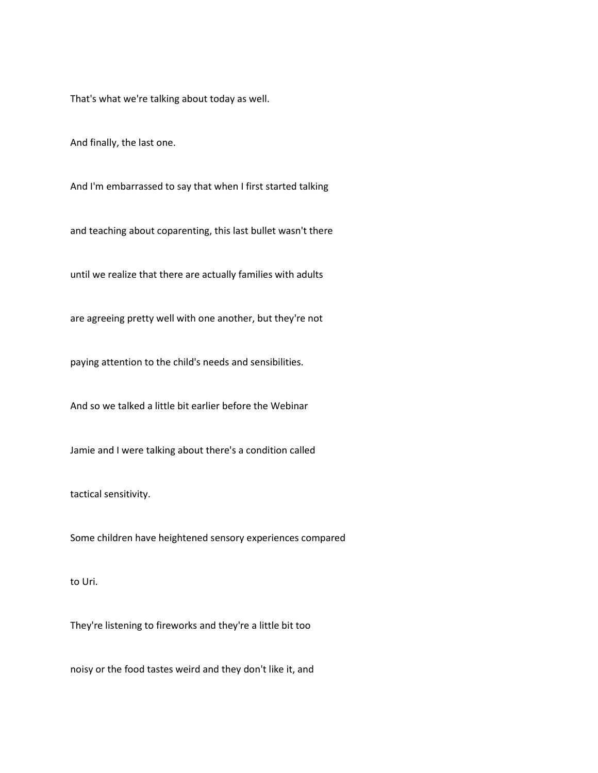That's what we're talking about today as well.

And finally, the last one.

And I'm embarrassed to say that when I first started talking

and teaching about coparenting, this last bullet wasn't there

until we realize that there are actually families with adults

are agreeing pretty well with one another, but they're not

paying attention to the child's needs and sensibilities.

And so we talked a little bit earlier before the Webinar

Jamie and I were talking about there's a condition called

tactical sensitivity.

Some children have heightened sensory experiences compared

to Uri.

They're listening to fireworks and they're a little bit too

noisy or the food tastes weird and they don't like it, and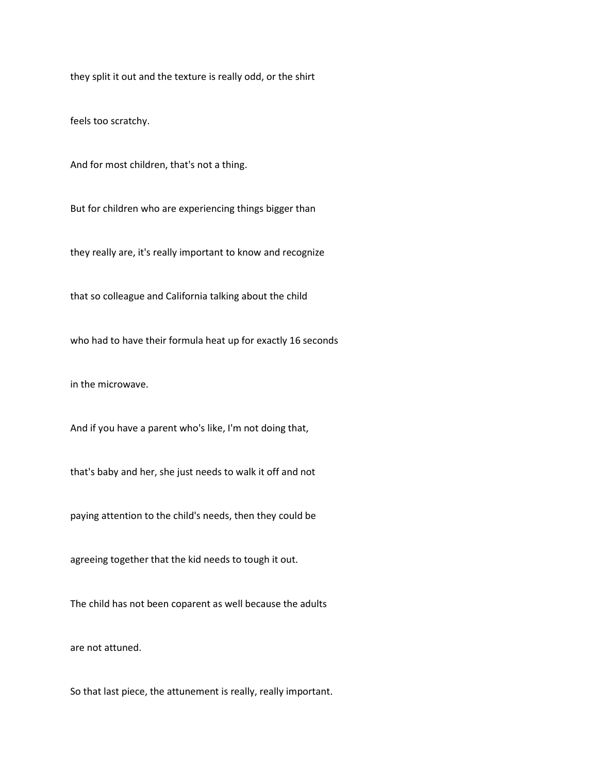they split it out and the texture is really odd, or the shirt

feels too scratchy.

And for most children, that's not a thing.

But for children who are experiencing things bigger than

they really are, it's really important to know and recognize

that so colleague and California talking about the child

who had to have their formula heat up for exactly 16 seconds

in the microwave.

And if you have a parent who's like, I'm not doing that,

that's baby and her, she just needs to walk it off and not

paying attention to the child's needs, then they could be

agreeing together that the kid needs to tough it out.

The child has not been coparent as well because the adults

are not attuned.

So that last piece, the attunement is really, really important.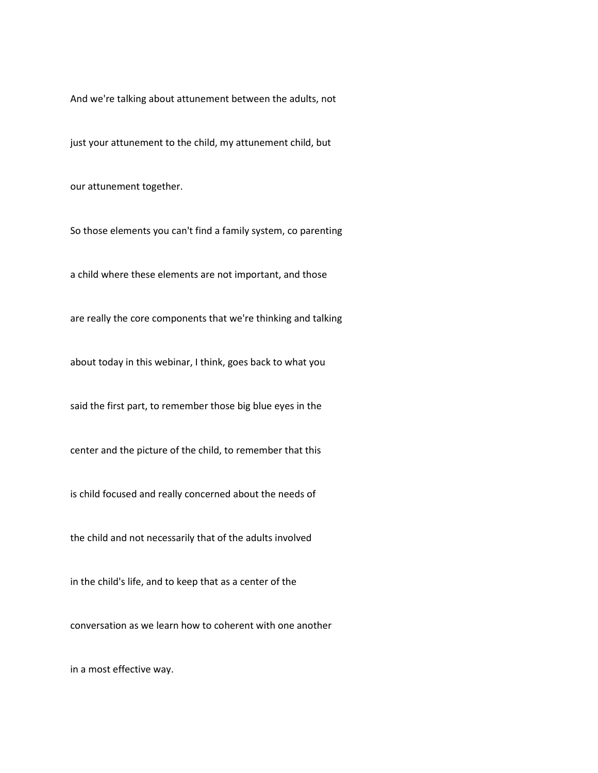And we're talking about attunement between the adults, not

just your attunement to the child, my attunement child, but

our attunement together.

So those elements you can't find a family system, co parenting

a child where these elements are not important, and those

are really the core components that we're thinking and talking

about today in this webinar, I think, goes back to what you

said the first part, to remember those big blue eyes in the

center and the picture of the child, to remember that this

is child focused and really concerned about the needs of

the child and not necessarily that of the adults involved

in the child's life, and to keep that as a center of the

conversation as we learn how to coherent with one another

in a most effective way.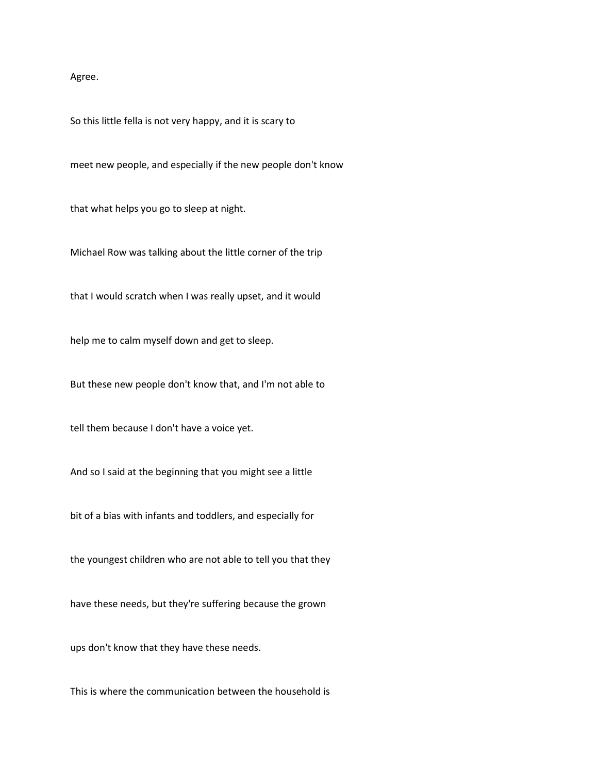## Agree.

So this little fella is not very happy, and it is scary to

meet new people, and especially if the new people don't know

that what helps you go to sleep at night.

Michael Row was talking about the little corner of the trip

that I would scratch when I was really upset, and it would

help me to calm myself down and get to sleep.

But these new people don't know that, and I'm not able to

tell them because I don't have a voice yet.

And so I said at the beginning that you might see a little

bit of a bias with infants and toddlers, and especially for

the youngest children who are not able to tell you that they

have these needs, but they're suffering because the grown

ups don't know that they have these needs.

This is where the communication between the household is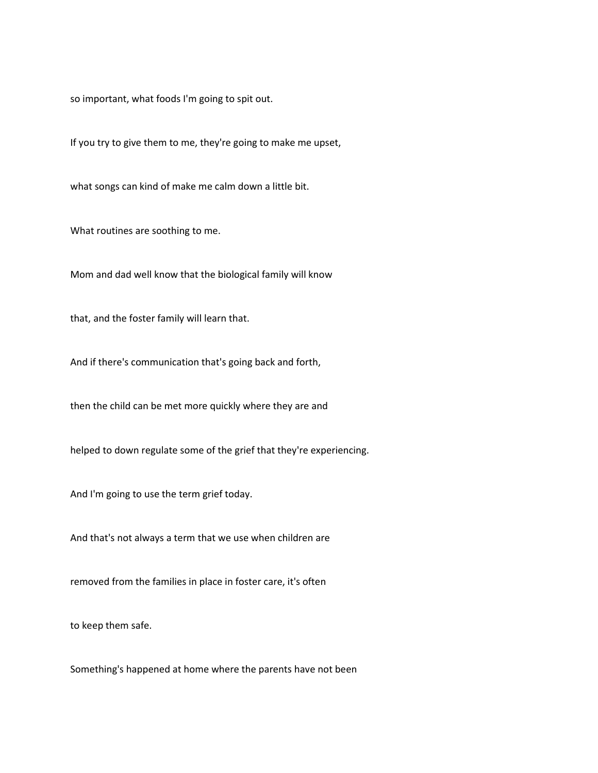so important, what foods I'm going to spit out.

If you try to give them to me, they're going to make me upset,

what songs can kind of make me calm down a little bit.

What routines are soothing to me.

Mom and dad well know that the biological family will know

that, and the foster family will learn that.

And if there's communication that's going back and forth,

then the child can be met more quickly where they are and

helped to down regulate some of the grief that they're experiencing.

And I'm going to use the term grief today.

And that's not always a term that we use when children are

removed from the families in place in foster care, it's often

to keep them safe.

Something's happened at home where the parents have not been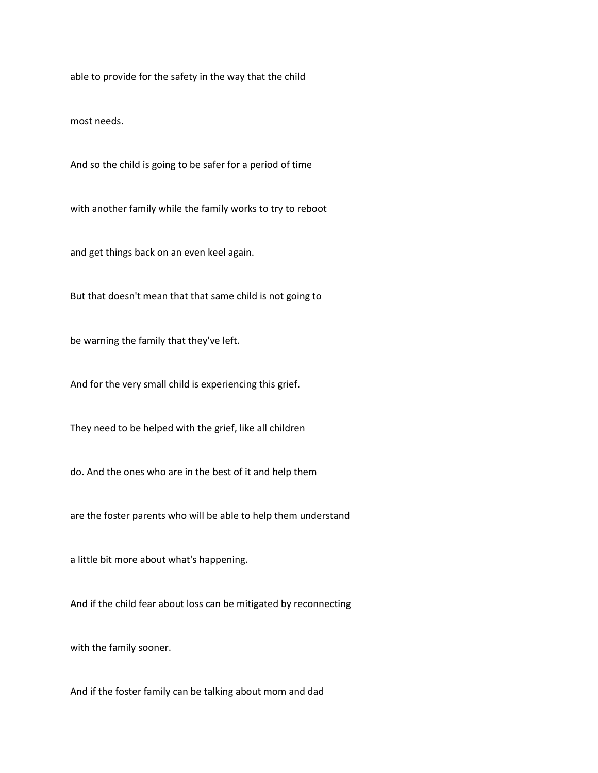able to provide for the safety in the way that the child

most needs.

And so the child is going to be safer for a period of time

with another family while the family works to try to reboot

and get things back on an even keel again.

But that doesn't mean that that same child is not going to

be warning the family that they've left.

And for the very small child is experiencing this grief.

They need to be helped with the grief, like all children

do. And the ones who are in the best of it and help them

are the foster parents who will be able to help them understand

a little bit more about what's happening.

And if the child fear about loss can be mitigated by reconnecting

with the family sooner.

And if the foster family can be talking about mom and dad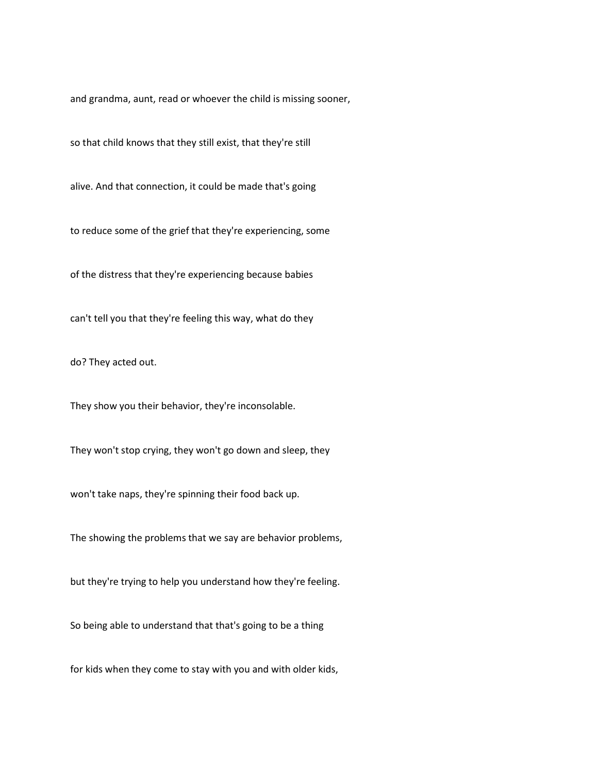and grandma, aunt, read or whoever the child is missing sooner,

so that child knows that they still exist, that they're still

alive. And that connection, it could be made that's going

to reduce some of the grief that they're experiencing, some

of the distress that they're experiencing because babies

can't tell you that they're feeling this way, what do they

do? They acted out.

They show you their behavior, they're inconsolable.

They won't stop crying, they won't go down and sleep, they

won't take naps, they're spinning their food back up.

The showing the problems that we say are behavior problems,

but they're trying to help you understand how they're feeling.

So being able to understand that that's going to be a thing

for kids when they come to stay with you and with older kids,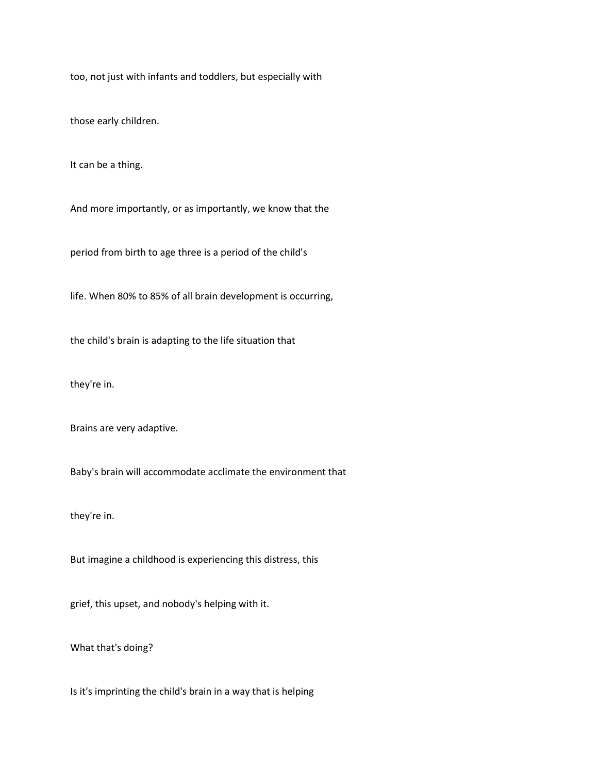too, not just with infants and toddlers, but especially with

those early children.

It can be a thing.

And more importantly, or as importantly, we know that the

period from birth to age three is a period of the child's

life. When 80% to 85% of all brain development is occurring,

the child's brain is adapting to the life situation that

they're in.

Brains are very adaptive.

Baby's brain will accommodate acclimate the environment that

they're in.

But imagine a childhood is experiencing this distress, this

grief, this upset, and nobody's helping with it.

What that's doing?

Is it's imprinting the child's brain in a way that is helping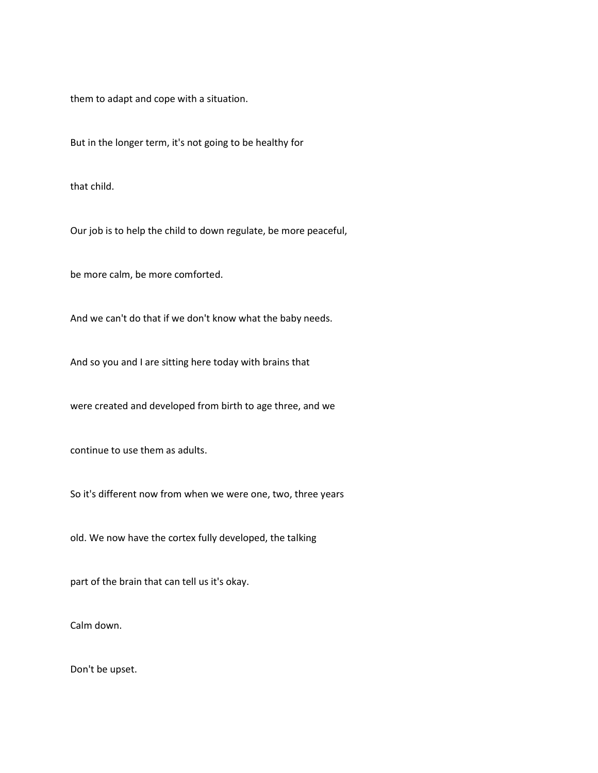them to adapt and cope with a situation.

But in the longer term, it's not going to be healthy for

that child.

Our job is to help the child to down regulate, be more peaceful,

be more calm, be more comforted.

And we can't do that if we don't know what the baby needs.

And so you and I are sitting here today with brains that

were created and developed from birth to age three, and we

continue to use them as adults.

So it's different now from when we were one, two, three years

old. We now have the cortex fully developed, the talking

part of the brain that can tell us it's okay.

Calm down.

Don't be upset.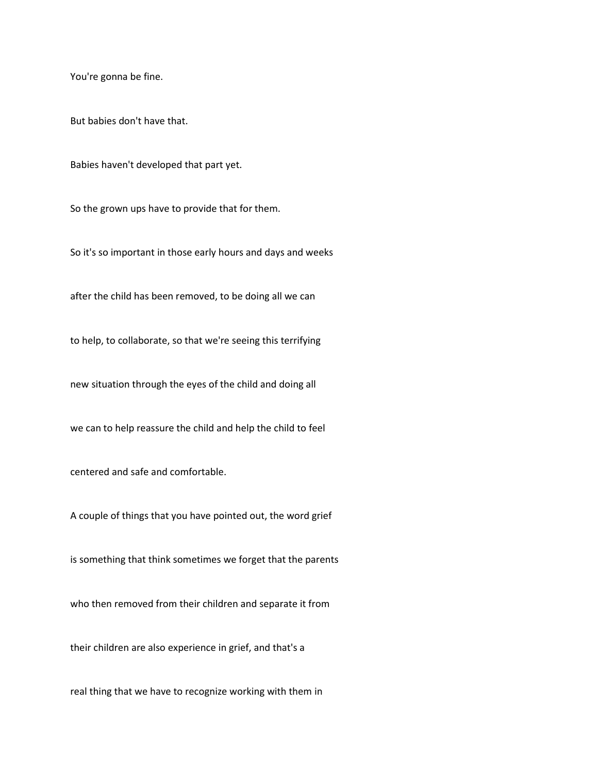You're gonna be fine.

But babies don't have that.

Babies haven't developed that part yet.

So the grown ups have to provide that for them.

So it's so important in those early hours and days and weeks

after the child has been removed, to be doing all we can

to help, to collaborate, so that we're seeing this terrifying

new situation through the eyes of the child and doing all

we can to help reassure the child and help the child to feel

centered and safe and comfortable.

A couple of things that you have pointed out, the word grief

is something that think sometimes we forget that the parents

who then removed from their children and separate it from

their children are also experience in grief, and that's a

real thing that we have to recognize working with them in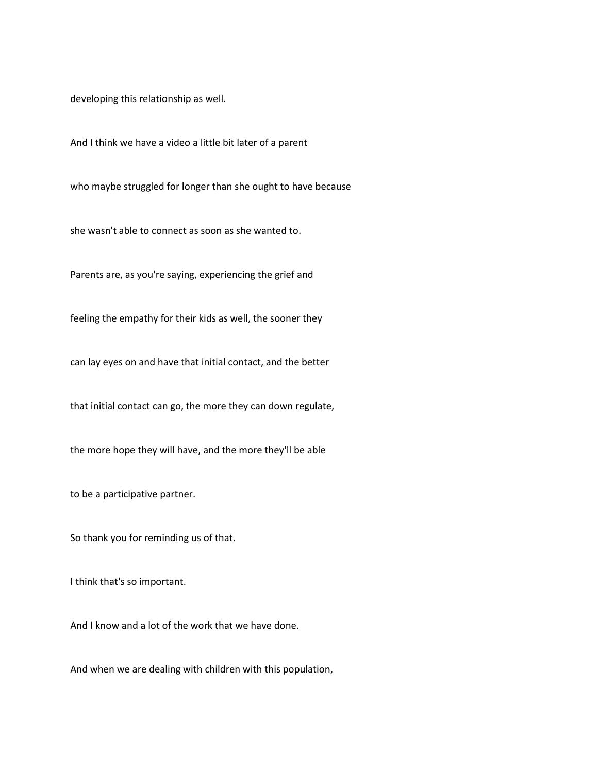developing this relationship as well.

And I think we have a video a little bit later of a parent

who maybe struggled for longer than she ought to have because

she wasn't able to connect as soon as she wanted to.

Parents are, as you're saying, experiencing the grief and

feeling the empathy for their kids as well, the sooner they

can lay eyes on and have that initial contact, and the better

that initial contact can go, the more they can down regulate,

the more hope they will have, and the more they'll be able

to be a participative partner.

So thank you for reminding us of that.

I think that's so important.

And I know and a lot of the work that we have done.

And when we are dealing with children with this population,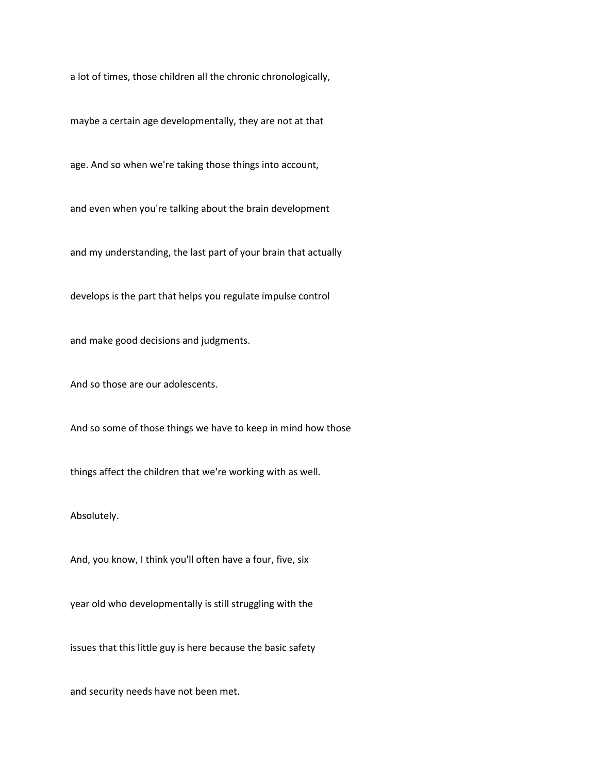a lot of times, those children all the chronic chronologically,

maybe a certain age developmentally, they are not at that

age. And so when we're taking those things into account,

and even when you're talking about the brain development

and my understanding, the last part of your brain that actually

develops is the part that helps you regulate impulse control

and make good decisions and judgments.

And so those are our adolescents.

And so some of those things we have to keep in mind how those

things affect the children that we're working with as well.

Absolutely.

And, you know, I think you'll often have a four, five, six

year old who developmentally is still struggling with the

issues that this little guy is here because the basic safety

and security needs have not been met.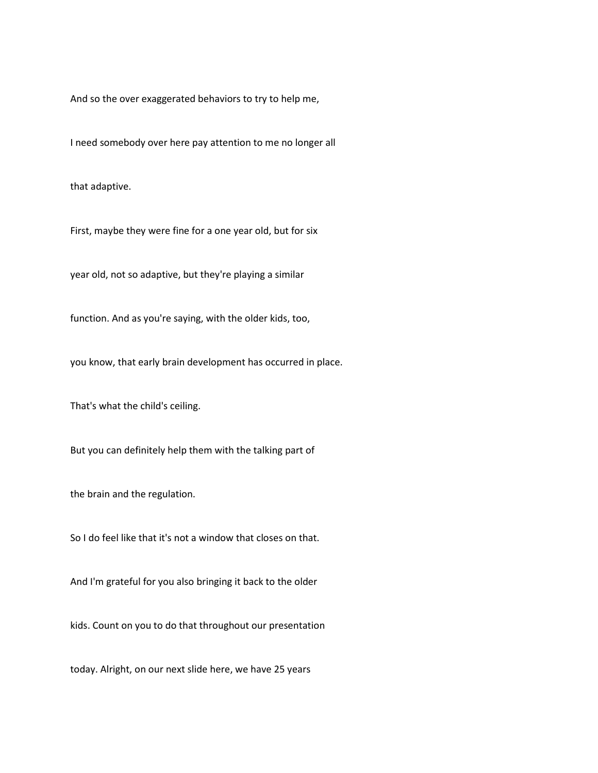And so the over exaggerated behaviors to try to help me,

I need somebody over here pay attention to me no longer all

that adaptive.

First, maybe they were fine for a one year old, but for six

year old, not so adaptive, but they're playing a similar

function. And as you're saying, with the older kids, too,

you know, that early brain development has occurred in place.

That's what the child's ceiling.

But you can definitely help them with the talking part of

the brain and the regulation.

So I do feel like that it's not a window that closes on that.

And I'm grateful for you also bringing it back to the older

kids. Count on you to do that throughout our presentation

today. Alright, on our next slide here, we have 25 years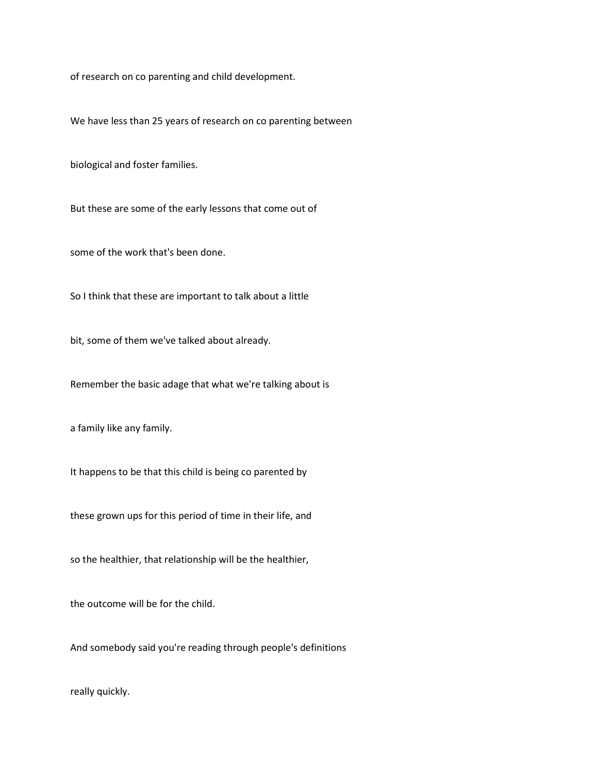of research on co parenting and child development.

We have less than 25 years of research on co parenting between

biological and foster families.

But these are some of the early lessons that come out of

some of the work that's been done.

So I think that these are important to talk about a little

bit, some of them we've talked about already.

Remember the basic adage that what we're talking about is

a family like any family.

It happens to be that this child is being co parented by

these grown ups for this period of time in their life, and

so the healthier, that relationship will be the healthier,

the outcome will be for the child.

And somebody said you're reading through people's definitions

really quickly.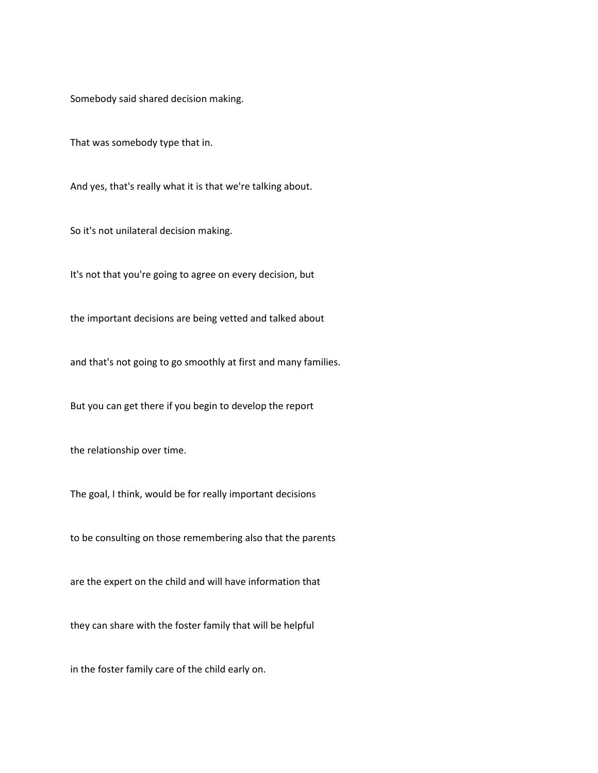Somebody said shared decision making.

That was somebody type that in.

And yes, that's really what it is that we're talking about.

So it's not unilateral decision making.

It's not that you're going to agree on every decision, but

the important decisions are being vetted and talked about

and that's not going to go smoothly at first and many families.

But you can get there if you begin to develop the report

the relationship over time.

The goal, I think, would be for really important decisions

to be consulting on those remembering also that the parents

are the expert on the child and will have information that

they can share with the foster family that will be helpful

in the foster family care of the child early on.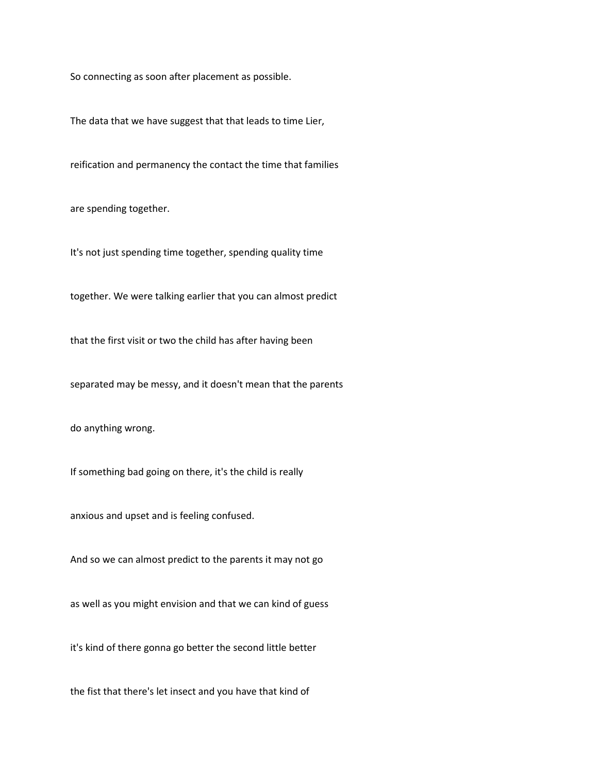So connecting as soon after placement as possible.

The data that we have suggest that that leads to time Lier,

reification and permanency the contact the time that families

are spending together.

It's not just spending time together, spending quality time

together. We were talking earlier that you can almost predict

that the first visit or two the child has after having been

separated may be messy, and it doesn't mean that the parents

do anything wrong.

If something bad going on there, it's the child is really

anxious and upset and is feeling confused.

And so we can almost predict to the parents it may not go

as well as you might envision and that we can kind of guess

it's kind of there gonna go better the second little better

the fist that there's let insect and you have that kind of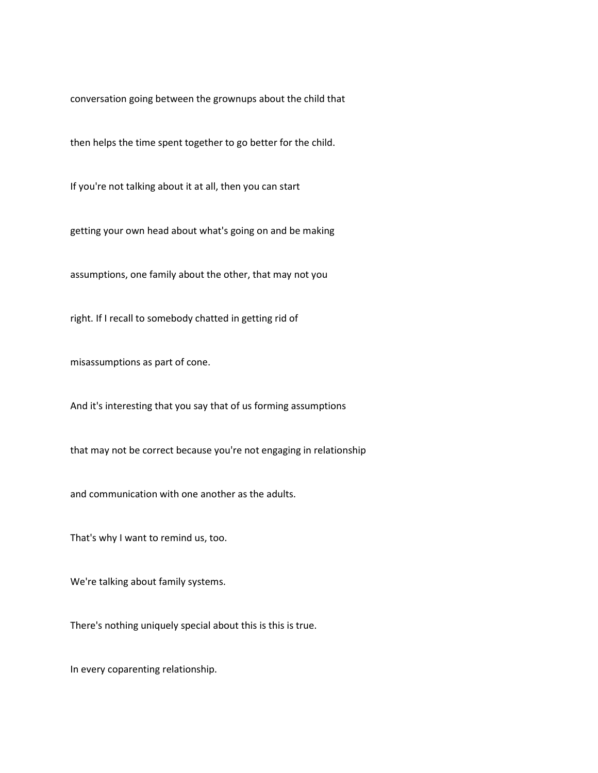conversation going between the grownups about the child that

then helps the time spent together to go better for the child.

If you're not talking about it at all, then you can start

getting your own head about what's going on and be making

assumptions, one family about the other, that may not you

right. If I recall to somebody chatted in getting rid of

misassumptions as part of cone.

And it's interesting that you say that of us forming assumptions

that may not be correct because you're not engaging in relationship

and communication with one another as the adults.

That's why I want to remind us, too.

We're talking about family systems.

There's nothing uniquely special about this is this is true.

In every coparenting relationship.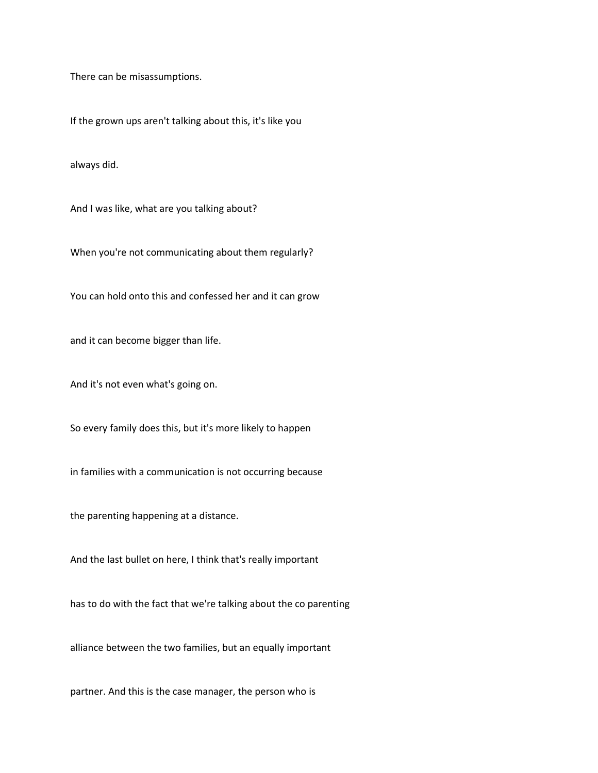There can be misassumptions.

If the grown ups aren't talking about this, it's like you

always did.

And I was like, what are you talking about?

When you're not communicating about them regularly?

You can hold onto this and confessed her and it can grow

and it can become bigger than life.

And it's not even what's going on.

So every family does this, but it's more likely to happen

in families with a communication is not occurring because

the parenting happening at a distance.

And the last bullet on here, I think that's really important

has to do with the fact that we're talking about the co parenting

alliance between the two families, but an equally important

partner. And this is the case manager, the person who is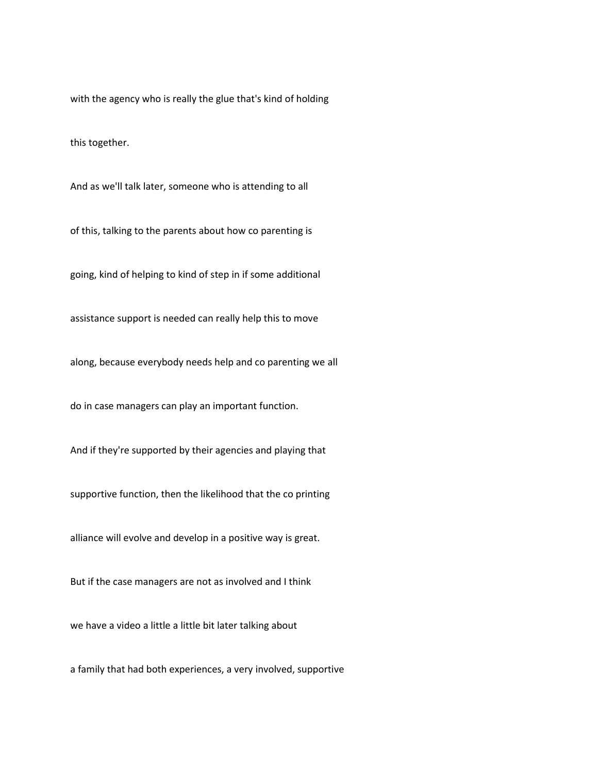with the agency who is really the glue that's kind of holding

this together.

And as we'll talk later, someone who is attending to all

of this, talking to the parents about how co parenting is

going, kind of helping to kind of step in if some additional

assistance support is needed can really help this to move

along, because everybody needs help and co parenting we all

do in case managers can play an important function.

And if they're supported by their agencies and playing that

supportive function, then the likelihood that the co printing

alliance will evolve and develop in a positive way is great.

But if the case managers are not as involved and I think

we have a video a little a little bit later talking about

a family that had both experiences, a very involved, supportive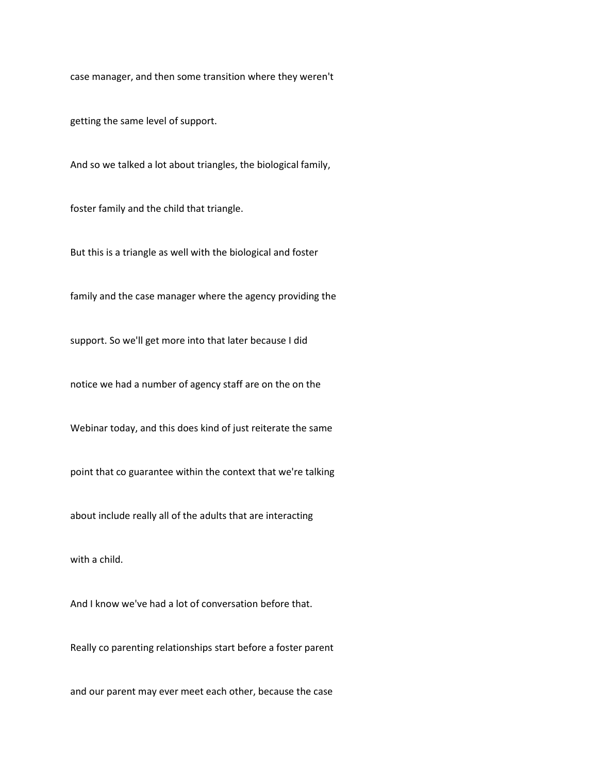case manager, and then some transition where they weren't

getting the same level of support.

And so we talked a lot about triangles, the biological family,

foster family and the child that triangle.

But this is a triangle as well with the biological and foster

family and the case manager where the agency providing the

support. So we'll get more into that later because I did

notice we had a number of agency staff are on the on the

Webinar today, and this does kind of just reiterate the same

point that co guarantee within the context that we're talking

about include really all of the adults that are interacting

with a child.

And I know we've had a lot of conversation before that.

Really co parenting relationships start before a foster parent

and our parent may ever meet each other, because the case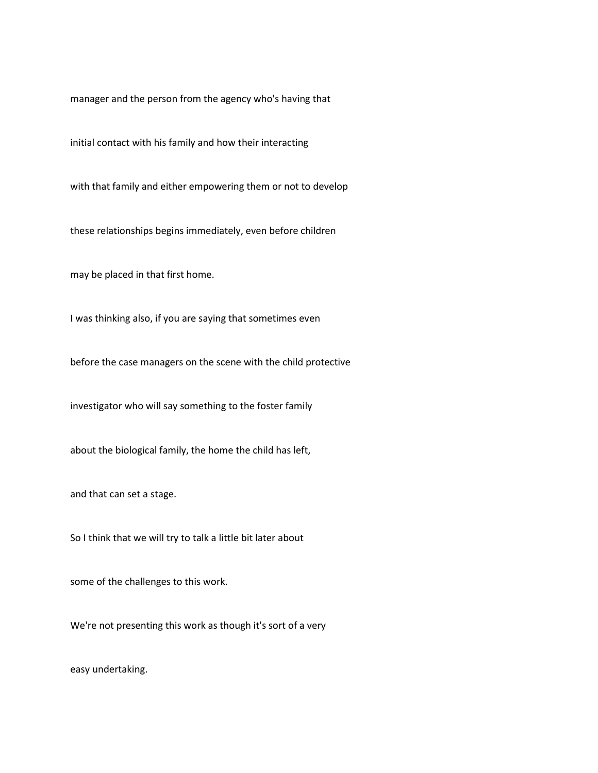manager and the person from the agency who's having that

initial contact with his family and how their interacting

with that family and either empowering them or not to develop

these relationships begins immediately, even before children

may be placed in that first home.

I was thinking also, if you are saying that sometimes even

before the case managers on the scene with the child protective

investigator who will say something to the foster family

about the biological family, the home the child has left,

and that can set a stage.

So I think that we will try to talk a little bit later about

some of the challenges to this work.

We're not presenting this work as though it's sort of a very

easy undertaking.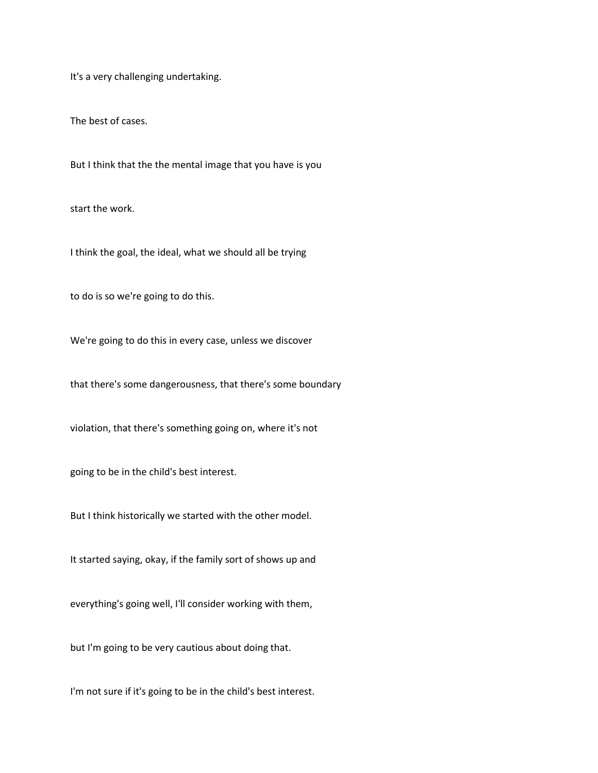It's a very challenging undertaking.

The best of cases.

But I think that the the mental image that you have is you

start the work.

I think the goal, the ideal, what we should all be trying

to do is so we're going to do this.

We're going to do this in every case, unless we discover

that there's some dangerousness, that there's some boundary

violation, that there's something going on, where it's not

going to be in the child's best interest.

But I think historically we started with the other model.

It started saying, okay, if the family sort of shows up and

everything's going well, I'll consider working with them,

but I'm going to be very cautious about doing that.

I'm not sure if it's going to be in the child's best interest.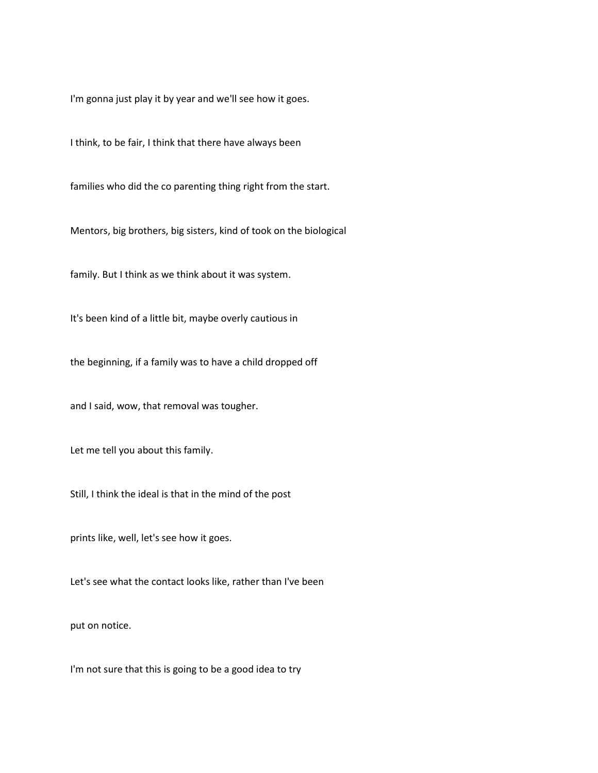I'm gonna just play it by year and we'll see how it goes.

I think, to be fair, I think that there have always been

families who did the co parenting thing right from the start.

Mentors, big brothers, big sisters, kind of took on the biological

family. But I think as we think about it was system.

It's been kind of a little bit, maybe overly cautious in

the beginning, if a family was to have a child dropped off

and I said, wow, that removal was tougher.

Let me tell you about this family.

Still, I think the ideal is that in the mind of the post

prints like, well, let's see how it goes.

Let's see what the contact looks like, rather than I've been

put on notice.

I'm not sure that this is going to be a good idea to try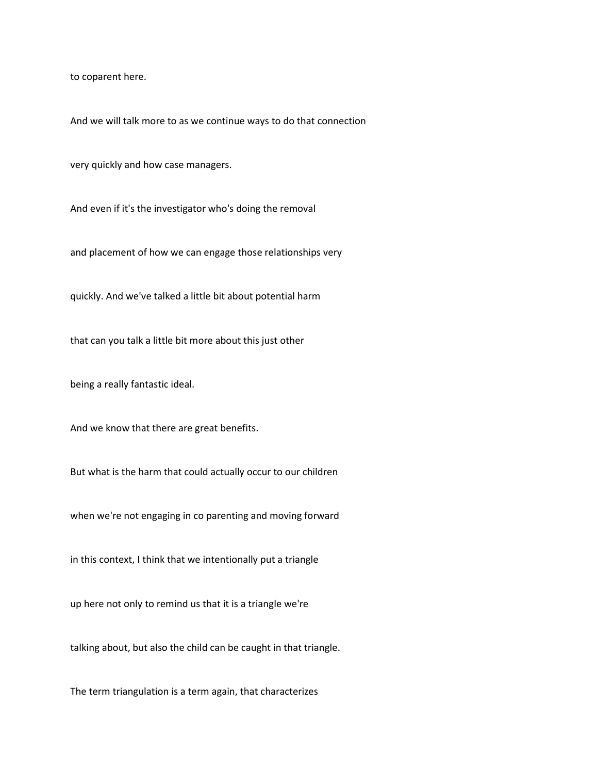to coparent here.

And we will talk more to as we continue ways to do that connection

very quickly and how case managers.

And even if it's the investigator who's doing the removal

and placement of how we can engage those relationships very

quickly. And we've talked a little bit about potential harm

that can you talk a little bit more about this just other

being a really fantastic ideal.

And we know that there are great benefits.

But what is the harm that could actually occur to our children

when we're not engaging in co parenting and moving forward

in this context, I think that we intentionally put a triangle

up here not only to remind us that it is a triangle we're

talking about, but also the child can be caught in that triangle.

The term triangulation is a term again, that characterizes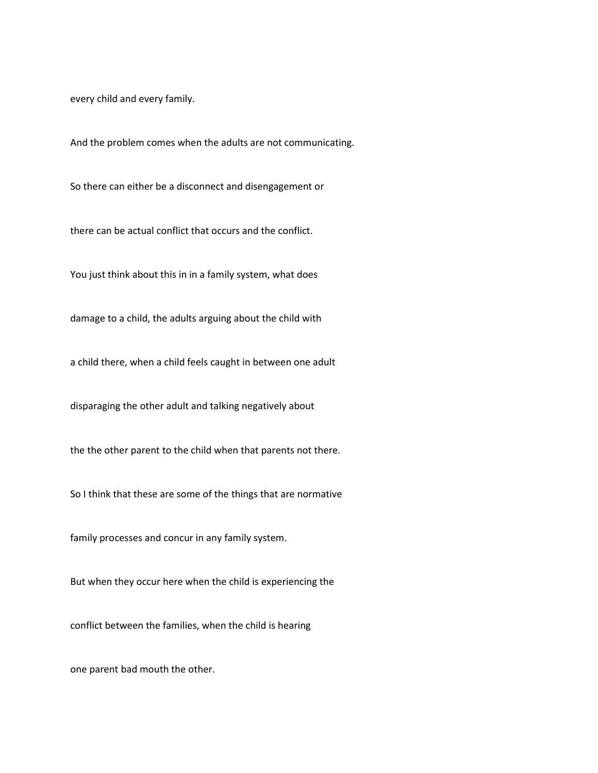every child and every family.

And the problem comes when the adults are not communicating.

So there can either be a disconnect and disengagement or

there can be actual conflict that occurs and the conflict.

You just think about this in in a family system, what does

damage to a child, the adults arguing about the child with

a child there, when a child feels caught in between one adult

disparaging the other adult and talking negatively about

the the other parent to the child when that parents not there.

So I think that these are some of the things that are normative

family processes and concur in any family system.

But when they occur here when the child is experiencing the

conflict between the families, when the child is hearing

one parent bad mouth the other.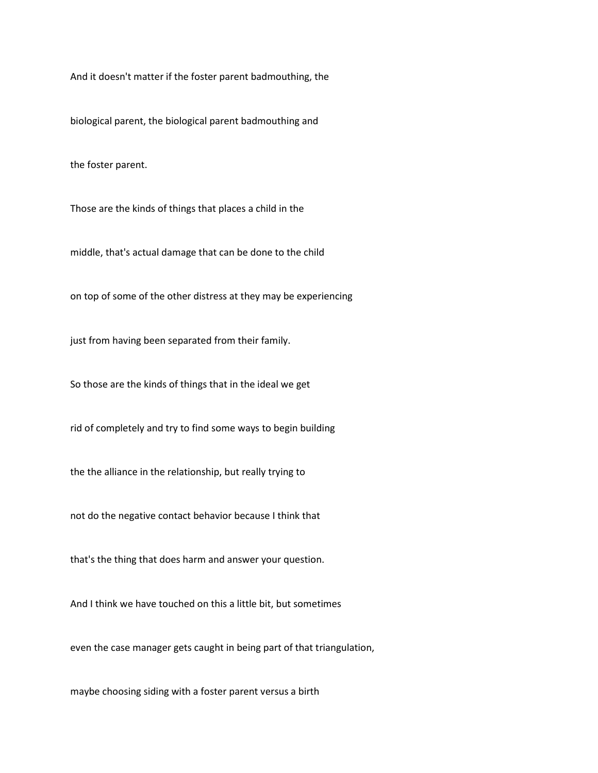And it doesn't matter if the foster parent badmouthing, the

biological parent, the biological parent badmouthing and

the foster parent.

Those are the kinds of things that places a child in the

middle, that's actual damage that can be done to the child

on top of some of the other distress at they may be experiencing

just from having been separated from their family.

So those are the kinds of things that in the ideal we get

rid of completely and try to find some ways to begin building

the the alliance in the relationship, but really trying to

not do the negative contact behavior because I think that

that's the thing that does harm and answer your question.

And I think we have touched on this a little bit, but sometimes

even the case manager gets caught in being part of that triangulation,

maybe choosing siding with a foster parent versus a birth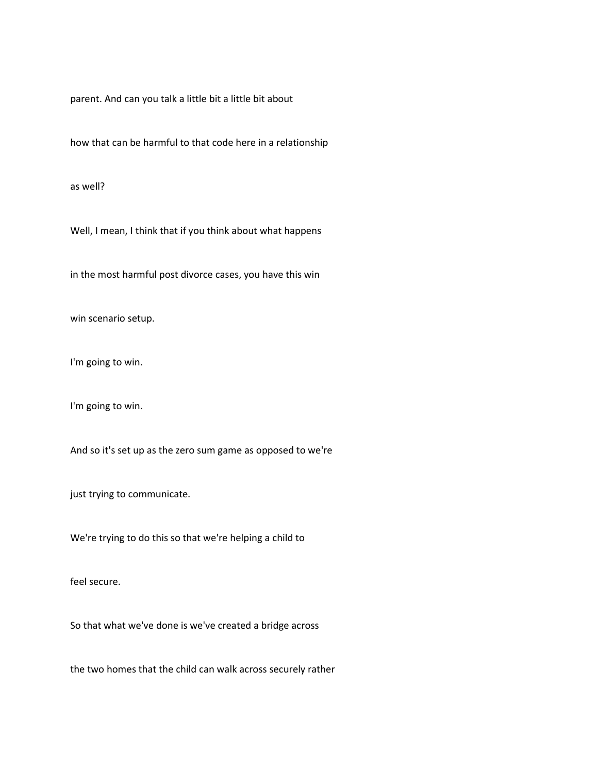parent. And can you talk a little bit a little bit about

how that can be harmful to that code here in a relationship

as well?

Well, I mean, I think that if you think about what happens

in the most harmful post divorce cases, you have this win

win scenario setup.

I'm going to win.

I'm going to win.

And so it's set up as the zero sum game as opposed to we're

just trying to communicate.

We're trying to do this so that we're helping a child to

feel secure.

So that what we've done is we've created a bridge across

the two homes that the child can walk across securely rather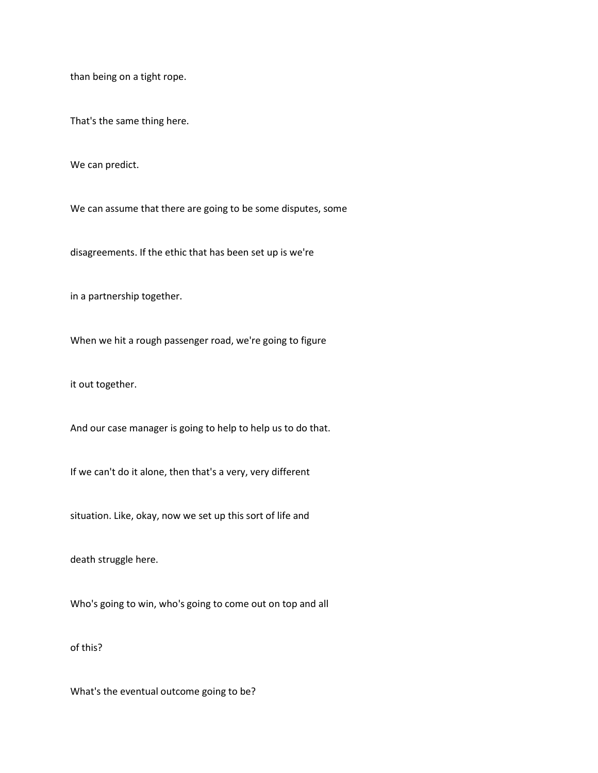than being on a tight rope.

That's the same thing here.

We can predict.

We can assume that there are going to be some disputes, some

disagreements. If the ethic that has been set up is we're

in a partnership together.

When we hit a rough passenger road, we're going to figure

it out together.

And our case manager is going to help to help us to do that.

If we can't do it alone, then that's a very, very different

situation. Like, okay, now we set up this sort of life and

death struggle here.

Who's going to win, who's going to come out on top and all

of this?

What's the eventual outcome going to be?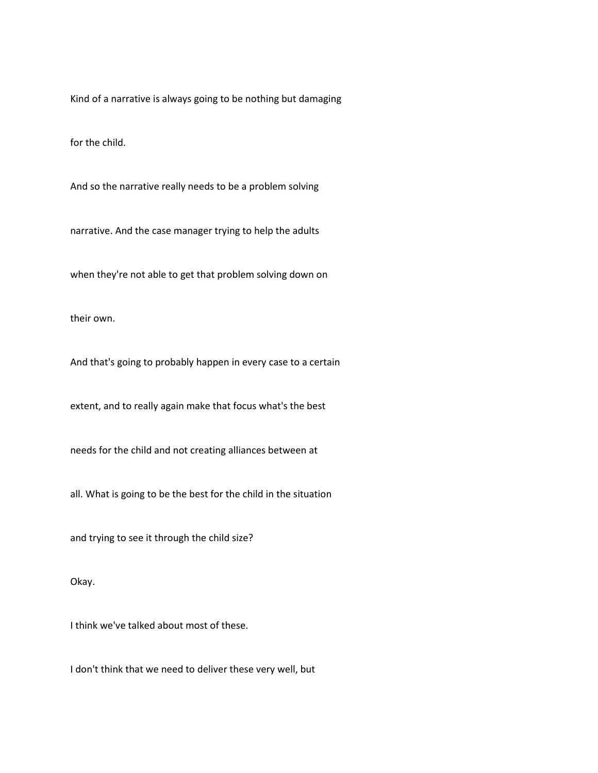Kind of a narrative is always going to be nothing but damaging

for the child.

And so the narrative really needs to be a problem solving

narrative. And the case manager trying to help the adults

when they're not able to get that problem solving down on

their own.

And that's going to probably happen in every case to a certain

extent, and to really again make that focus what's the best

needs for the child and not creating alliances between at

all. What is going to be the best for the child in the situation

and trying to see it through the child size?

Okay.

I think we've talked about most of these.

I don't think that we need to deliver these very well, but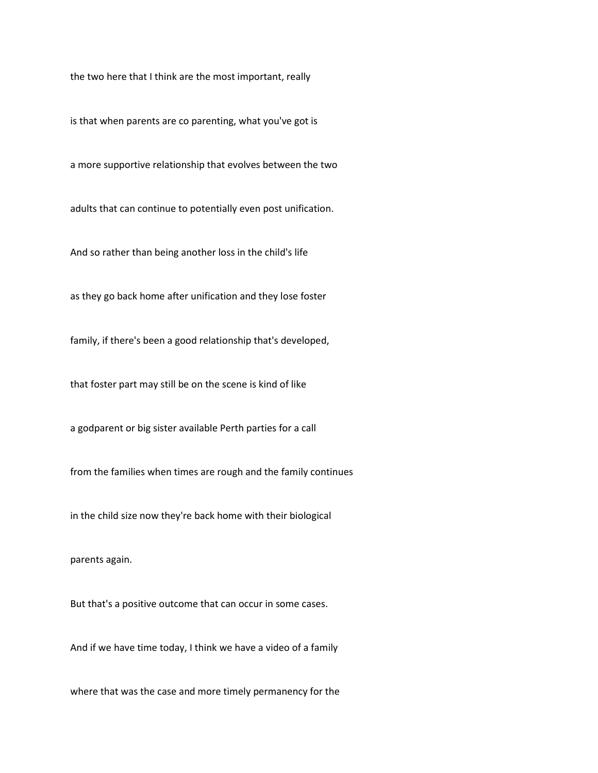the two here that I think are the most important, really

is that when parents are co parenting, what you've got is

a more supportive relationship that evolves between the two

adults that can continue to potentially even post unification.

And so rather than being another loss in the child's life

as they go back home after unification and they lose foster

family, if there's been a good relationship that's developed,

that foster part may still be on the scene is kind of like

a godparent or big sister available Perth parties for a call

from the families when times are rough and the family continues

in the child size now they're back home with their biological

parents again.

But that's a positive outcome that can occur in some cases.

And if we have time today, I think we have a video of a family

where that was the case and more timely permanency for the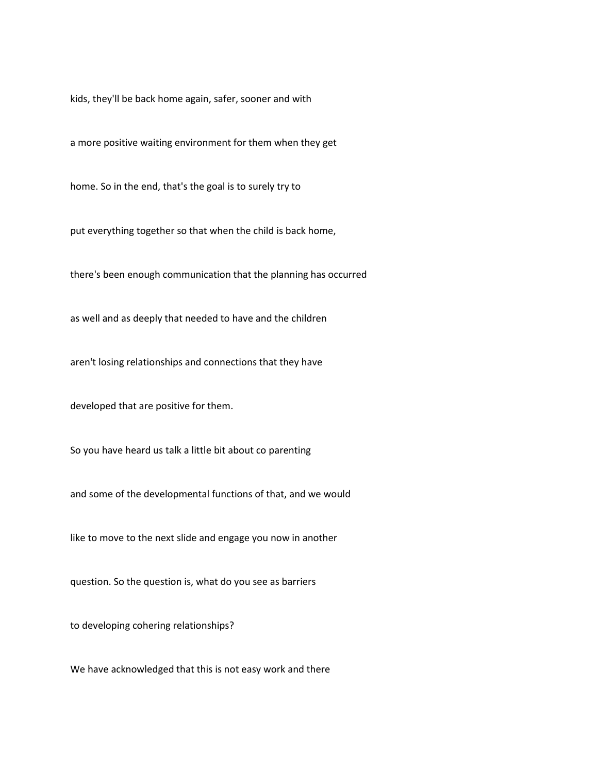kids, they'll be back home again, safer, sooner and with

a more positive waiting environment for them when they get

home. So in the end, that's the goal is to surely try to

put everything together so that when the child is back home,

there's been enough communication that the planning has occurred

as well and as deeply that needed to have and the children

aren't losing relationships and connections that they have

developed that are positive for them.

So you have heard us talk a little bit about co parenting

and some of the developmental functions of that, and we would

like to move to the next slide and engage you now in another

question. So the question is, what do you see as barriers

to developing cohering relationships?

We have acknowledged that this is not easy work and there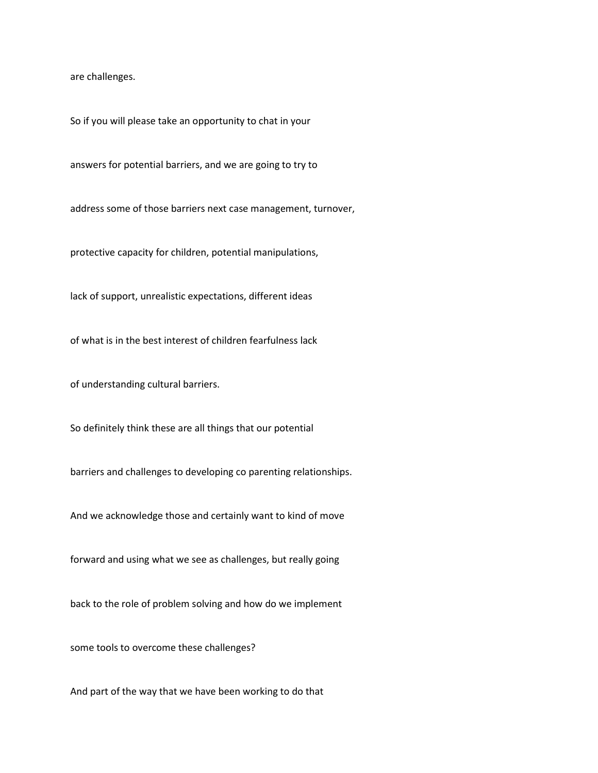are challenges.

So if you will please take an opportunity to chat in your

answers for potential barriers, and we are going to try to

address some of those barriers next case management, turnover,

protective capacity for children, potential manipulations,

lack of support, unrealistic expectations, different ideas

of what is in the best interest of children fearfulness lack

of understanding cultural barriers.

So definitely think these are all things that our potential

barriers and challenges to developing co parenting relationships.

And we acknowledge those and certainly want to kind of move

forward and using what we see as challenges, but really going

back to the role of problem solving and how do we implement

some tools to overcome these challenges?

And part of the way that we have been working to do that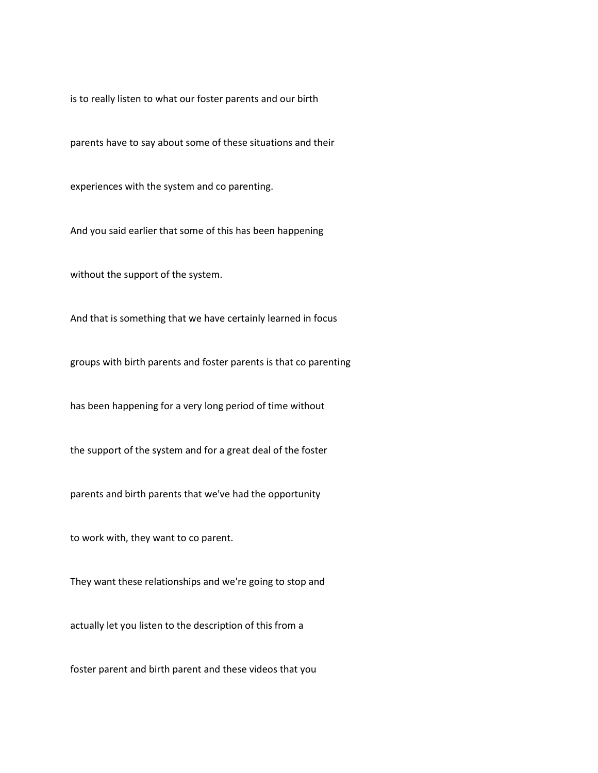is to really listen to what our foster parents and our birth

parents have to say about some of these situations and their

experiences with the system and co parenting.

And you said earlier that some of this has been happening

without the support of the system.

And that is something that we have certainly learned in focus

groups with birth parents and foster parents is that co parenting

has been happening for a very long period of time without

the support of the system and for a great deal of the foster

parents and birth parents that we've had the opportunity

to work with, they want to co parent.

They want these relationships and we're going to stop and

actually let you listen to the description of this from a

foster parent and birth parent and these videos that you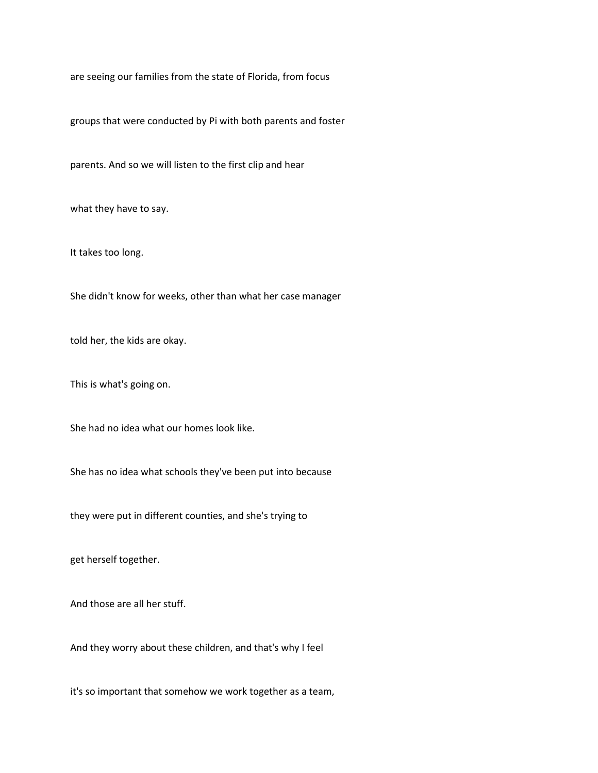are seeing our families from the state of Florida, from focus

groups that were conducted by Pi with both parents and foster

parents. And so we will listen to the first clip and hear

what they have to say.

It takes too long.

She didn't know for weeks, other than what her case manager

told her, the kids are okay.

This is what's going on.

She had no idea what our homes look like.

She has no idea what schools they've been put into because

they were put in different counties, and she's trying to

get herself together.

And those are all her stuff.

And they worry about these children, and that's why I feel

it's so important that somehow we work together as a team,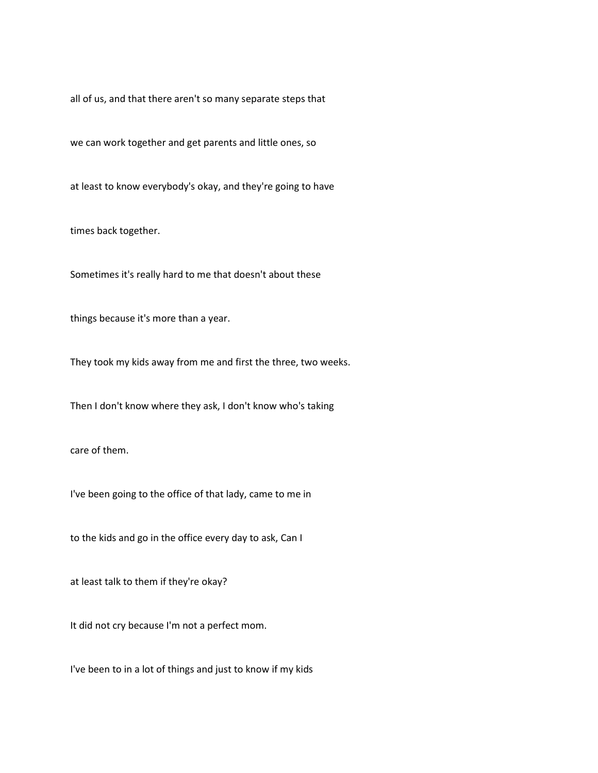all of us, and that there aren't so many separate steps that

we can work together and get parents and little ones, so

at least to know everybody's okay, and they're going to have

times back together.

Sometimes it's really hard to me that doesn't about these

things because it's more than a year.

They took my kids away from me and first the three, two weeks.

Then I don't know where they ask, I don't know who's taking

care of them.

I've been going to the office of that lady, came to me in

to the kids and go in the office every day to ask, Can I

at least talk to them if they're okay?

It did not cry because I'm not a perfect mom.

I've been to in a lot of things and just to know if my kids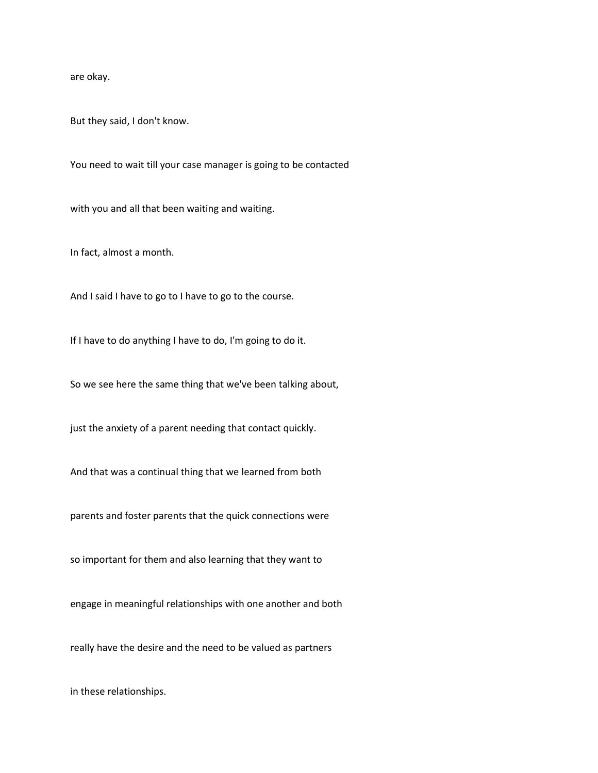are okay.

But they said, I don't know.

You need to wait till your case manager is going to be contacted

with you and all that been waiting and waiting.

In fact, almost a month.

And I said I have to go to I have to go to the course.

If I have to do anything I have to do, I'm going to do it.

So we see here the same thing that we've been talking about,

just the anxiety of a parent needing that contact quickly.

And that was a continual thing that we learned from both

parents and foster parents that the quick connections were

so important for them and also learning that they want to

engage in meaningful relationships with one another and both

really have the desire and the need to be valued as partners

in these relationships.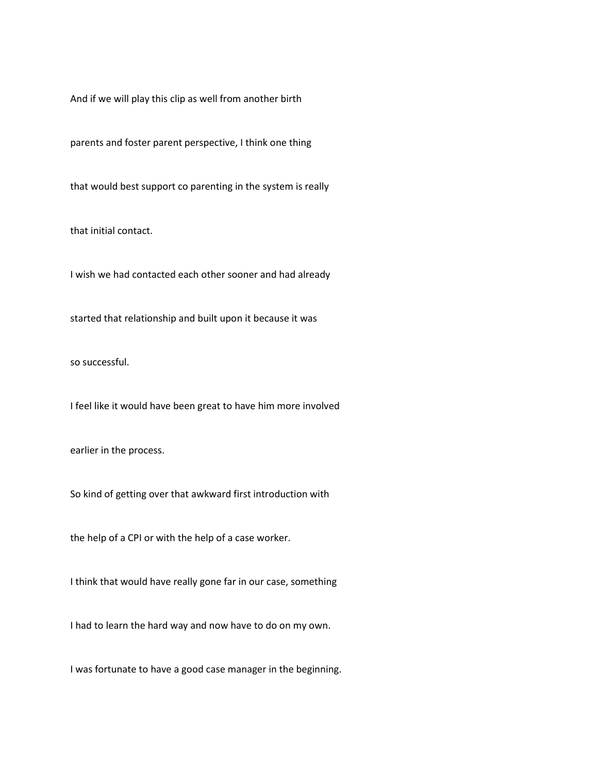And if we will play this clip as well from another birth

parents and foster parent perspective, I think one thing

that would best support co parenting in the system is really

that initial contact.

I wish we had contacted each other sooner and had already

started that relationship and built upon it because it was

so successful.

I feel like it would have been great to have him more involved

earlier in the process.

So kind of getting over that awkward first introduction with

the help of a CPI or with the help of a case worker.

I think that would have really gone far in our case, something

I had to learn the hard way and now have to do on my own.

I was fortunate to have a good case manager in the beginning.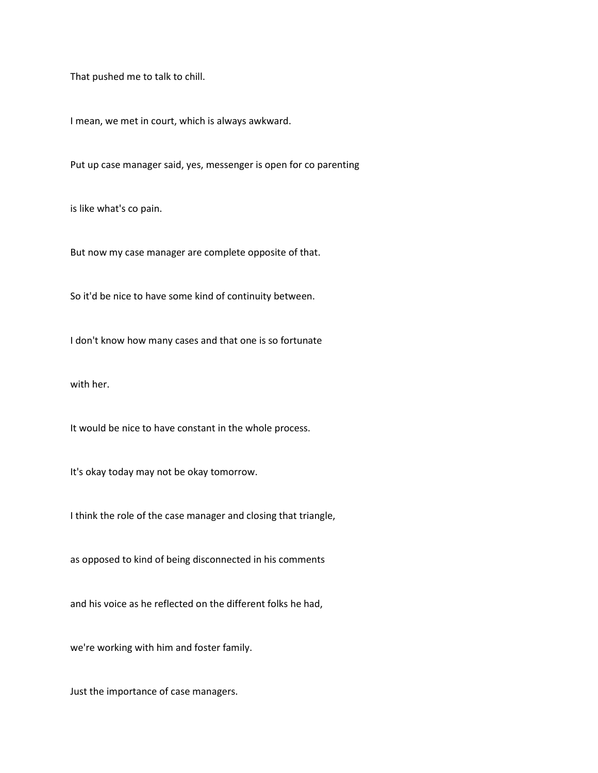That pushed me to talk to chill.

I mean, we met in court, which is always awkward.

Put up case manager said, yes, messenger is open for co parenting

is like what's co pain.

But now my case manager are complete opposite of that.

So it'd be nice to have some kind of continuity between.

I don't know how many cases and that one is so fortunate

with her.

It would be nice to have constant in the whole process.

It's okay today may not be okay tomorrow.

I think the role of the case manager and closing that triangle,

as opposed to kind of being disconnected in his comments

and his voice as he reflected on the different folks he had,

we're working with him and foster family.

Just the importance of case managers.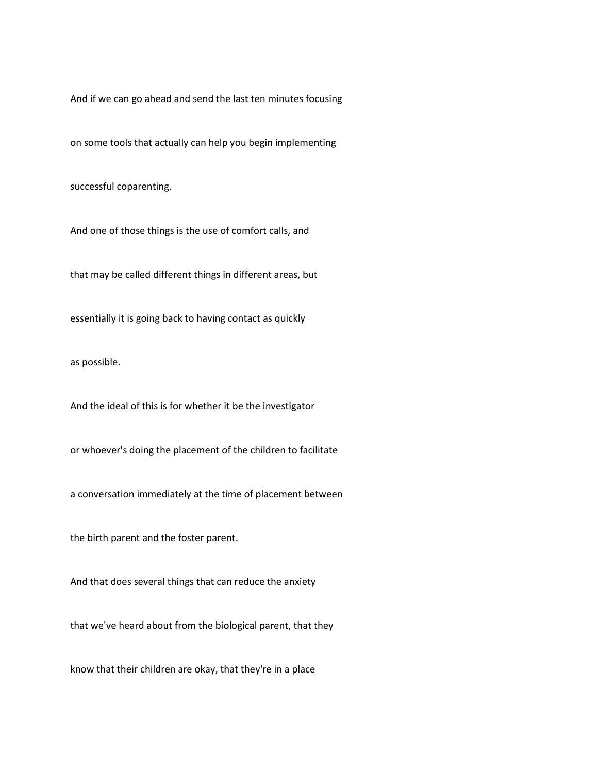And if we can go ahead and send the last ten minutes focusing

on some tools that actually can help you begin implementing

successful coparenting.

And one of those things is the use of comfort calls, and

that may be called different things in different areas, but

essentially it is going back to having contact as quickly

as possible.

And the ideal of this is for whether it be the investigator

or whoever's doing the placement of the children to facilitate

a conversation immediately at the time of placement between

the birth parent and the foster parent.

And that does several things that can reduce the anxiety

that we've heard about from the biological parent, that they

know that their children are okay, that they're in a place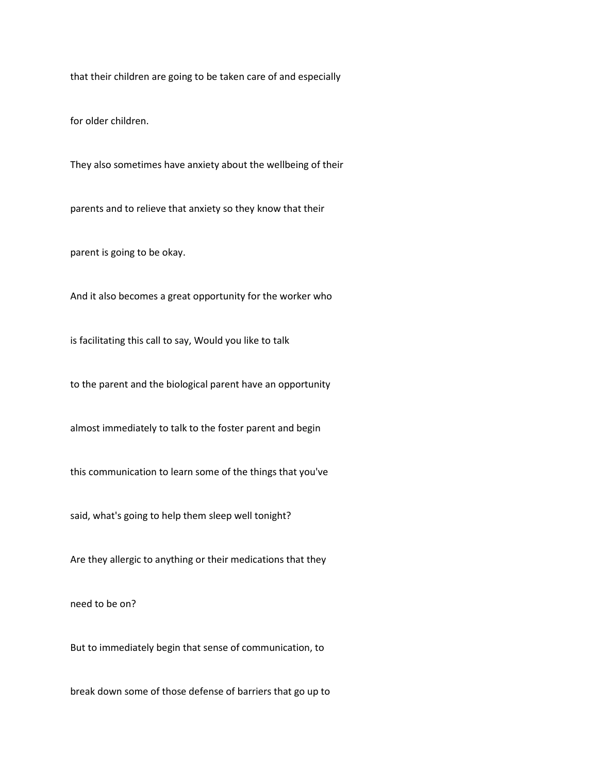that their children are going to be taken care of and especially

for older children.

They also sometimes have anxiety about the wellbeing of their

parents and to relieve that anxiety so they know that their

parent is going to be okay.

And it also becomes a great opportunity for the worker who

is facilitating this call to say, Would you like to talk

to the parent and the biological parent have an opportunity

almost immediately to talk to the foster parent and begin

this communication to learn some of the things that you've

said, what's going to help them sleep well tonight?

Are they allergic to anything or their medications that they

need to be on?

But to immediately begin that sense of communication, to

break down some of those defense of barriers that go up to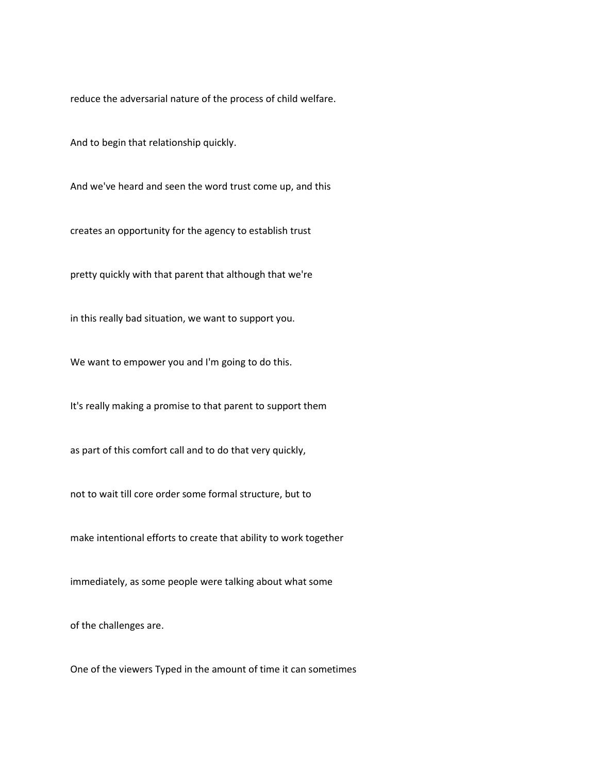reduce the adversarial nature of the process of child welfare.

And to begin that relationship quickly.

And we've heard and seen the word trust come up, and this

creates an opportunity for the agency to establish trust

pretty quickly with that parent that although that we're

in this really bad situation, we want to support you.

We want to empower you and I'm going to do this.

It's really making a promise to that parent to support them

as part of this comfort call and to do that very quickly,

not to wait till core order some formal structure, but to

make intentional efforts to create that ability to work together

immediately, as some people were talking about what some

of the challenges are.

One of the viewers Typed in the amount of time it can sometimes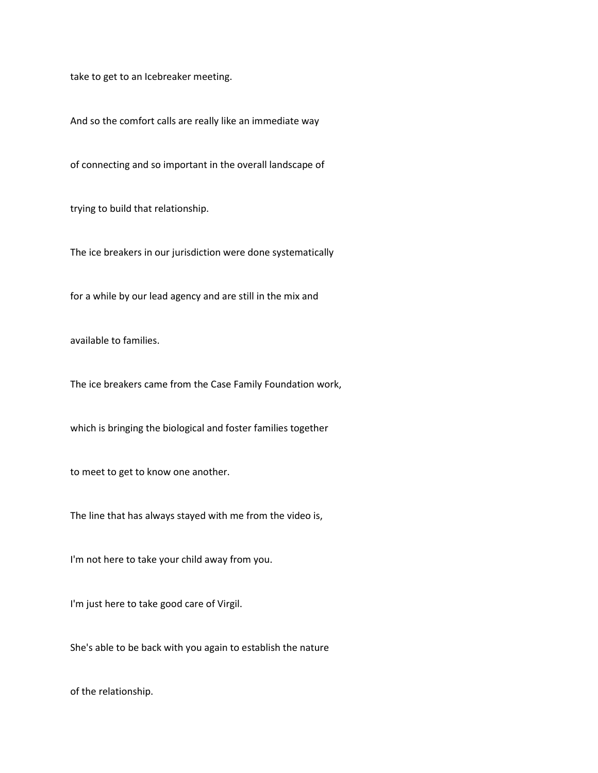take to get to an Icebreaker meeting.

And so the comfort calls are really like an immediate way

of connecting and so important in the overall landscape of

trying to build that relationship.

The ice breakers in our jurisdiction were done systematically

for a while by our lead agency and are still in the mix and

available to families.

The ice breakers came from the Case Family Foundation work,

which is bringing the biological and foster families together

to meet to get to know one another.

The line that has always stayed with me from the video is,

I'm not here to take your child away from you.

I'm just here to take good care of Virgil.

She's able to be back with you again to establish the nature

of the relationship.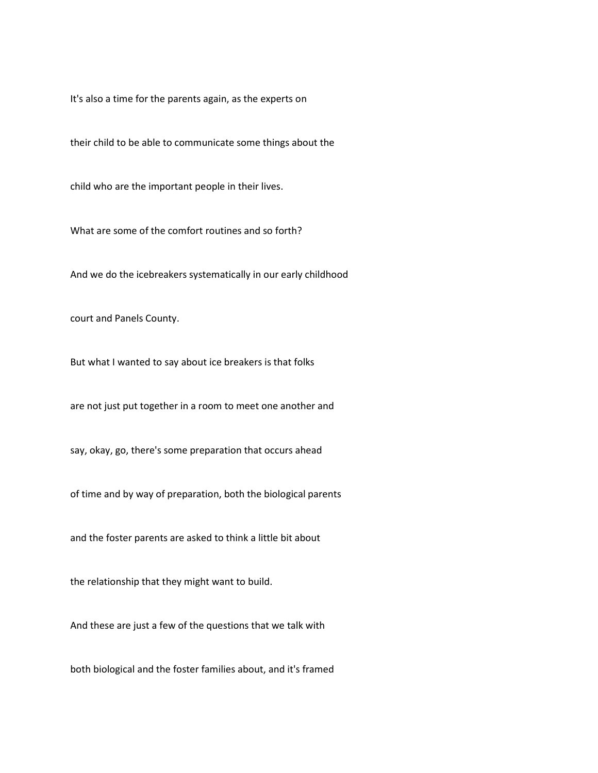It's also a time for the parents again, as the experts on

their child to be able to communicate some things about the

child who are the important people in their lives.

What are some of the comfort routines and so forth?

And we do the icebreakers systematically in our early childhood

court and Panels County.

But what I wanted to say about ice breakers is that folks

are not just put together in a room to meet one another and

say, okay, go, there's some preparation that occurs ahead

of time and by way of preparation, both the biological parents

and the foster parents are asked to think a little bit about

the relationship that they might want to build.

And these are just a few of the questions that we talk with

both biological and the foster families about, and it's framed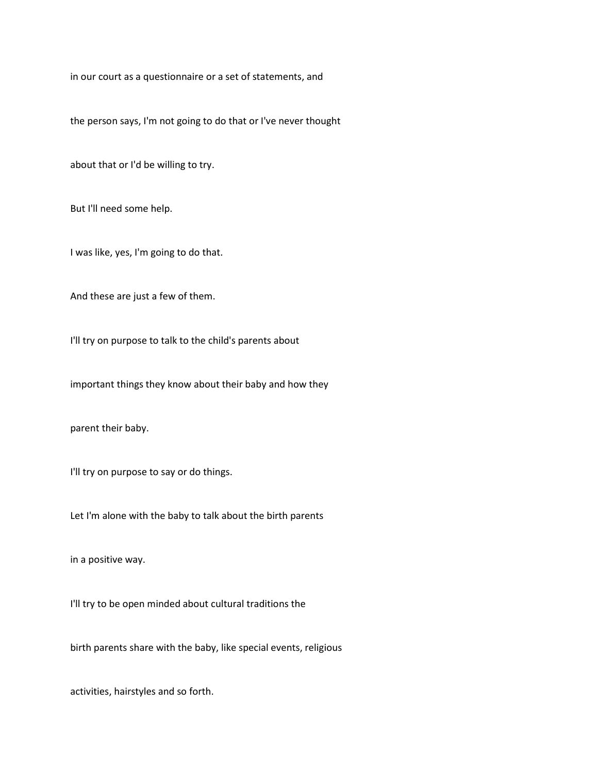in our court as a questionnaire or a set of statements, and

the person says, I'm not going to do that or I've never thought

about that or I'd be willing to try.

But I'll need some help.

I was like, yes, I'm going to do that.

And these are just a few of them.

I'll try on purpose to talk to the child's parents about

important things they know about their baby and how they

parent their baby.

I'll try on purpose to say or do things.

Let I'm alone with the baby to talk about the birth parents

in a positive way.

I'll try to be open minded about cultural traditions the

birth parents share with the baby, like special events, religious

activities, hairstyles and so forth.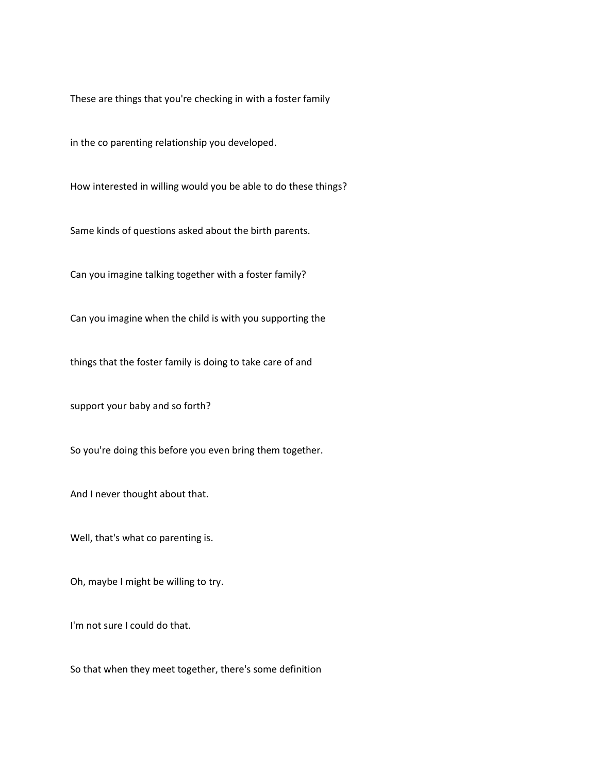These are things that you're checking in with a foster family

in the co parenting relationship you developed.

How interested in willing would you be able to do these things?

Same kinds of questions asked about the birth parents.

Can you imagine talking together with a foster family?

Can you imagine when the child is with you supporting the

things that the foster family is doing to take care of and

support your baby and so forth?

So you're doing this before you even bring them together.

And I never thought about that.

Well, that's what co parenting is.

Oh, maybe I might be willing to try.

I'm not sure I could do that.

So that when they meet together, there's some definition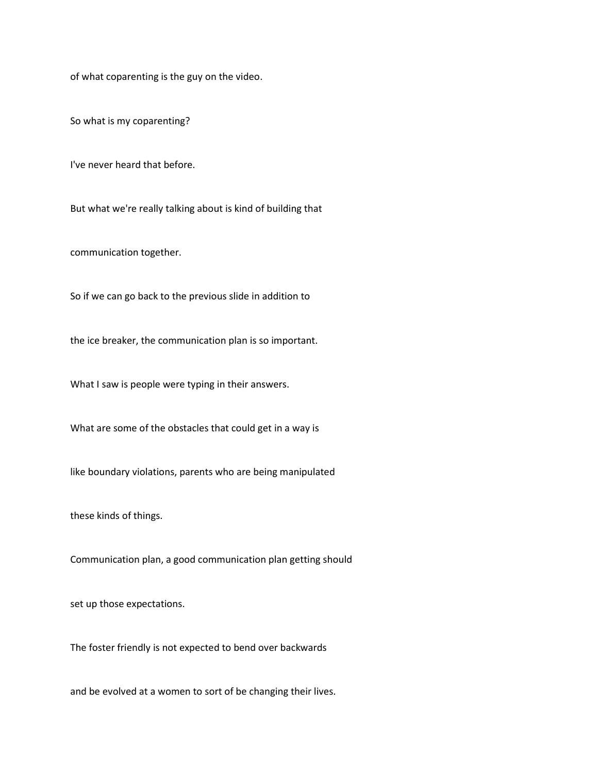of what coparenting is the guy on the video.

So what is my coparenting?

I've never heard that before.

But what we're really talking about is kind of building that

communication together.

So if we can go back to the previous slide in addition to

the ice breaker, the communication plan is so important.

What I saw is people were typing in their answers.

What are some of the obstacles that could get in a way is

like boundary violations, parents who are being manipulated

these kinds of things.

Communication plan, a good communication plan getting should

set up those expectations.

The foster friendly is not expected to bend over backwards

and be evolved at a women to sort of be changing their lives.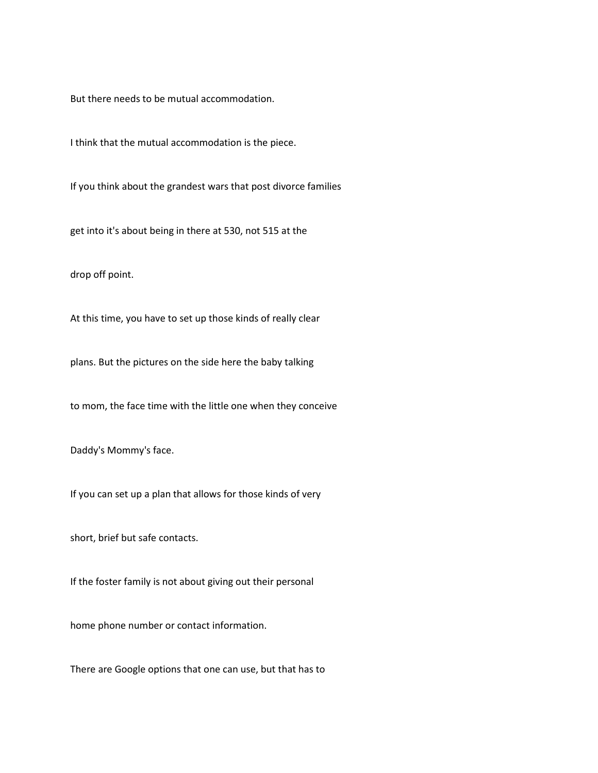But there needs to be mutual accommodation.

I think that the mutual accommodation is the piece.

If you think about the grandest wars that post divorce families

get into it's about being in there at 530, not 515 at the

drop off point.

At this time, you have to set up those kinds of really clear

plans. But the pictures on the side here the baby talking

to mom, the face time with the little one when they conceive

Daddy's Mommy's face.

If you can set up a plan that allows for those kinds of very

short, brief but safe contacts.

If the foster family is not about giving out their personal

home phone number or contact information.

There are Google options that one can use, but that has to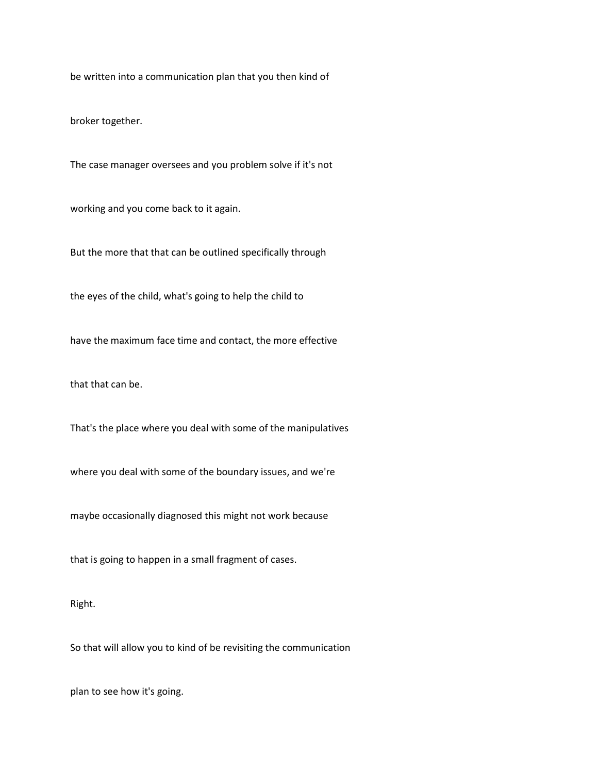be written into a communication plan that you then kind of

broker together.

The case manager oversees and you problem solve if it's not

working and you come back to it again.

But the more that that can be outlined specifically through

the eyes of the child, what's going to help the child to

have the maximum face time and contact, the more effective

that that can be.

That's the place where you deal with some of the manipulatives

where you deal with some of the boundary issues, and we're

maybe occasionally diagnosed this might not work because

that is going to happen in a small fragment of cases.

Right.

So that will allow you to kind of be revisiting the communication

plan to see how it's going.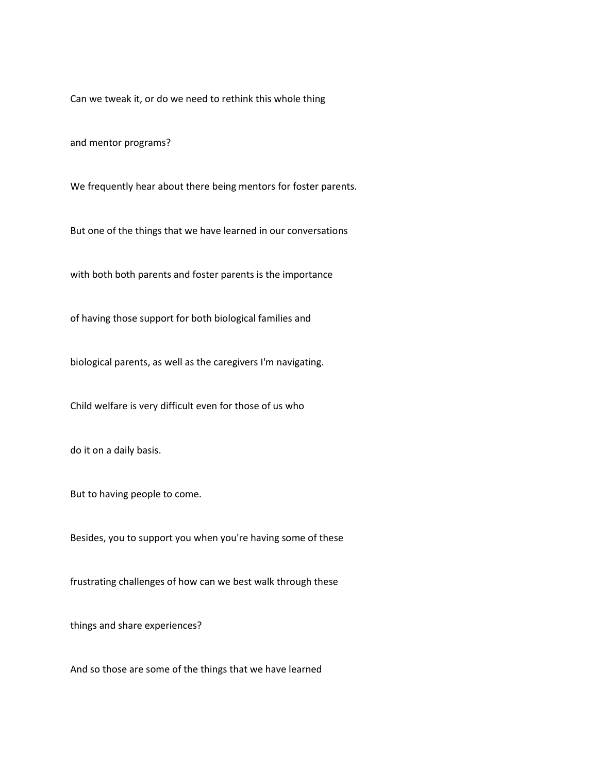Can we tweak it, or do we need to rethink this whole thing

and mentor programs?

We frequently hear about there being mentors for foster parents.

But one of the things that we have learned in our conversations

with both both parents and foster parents is the importance

of having those support for both biological families and

biological parents, as well as the caregivers I'm navigating.

Child welfare is very difficult even for those of us who

do it on a daily basis.

But to having people to come.

Besides, you to support you when you're having some of these

frustrating challenges of how can we best walk through these

things and share experiences?

And so those are some of the things that we have learned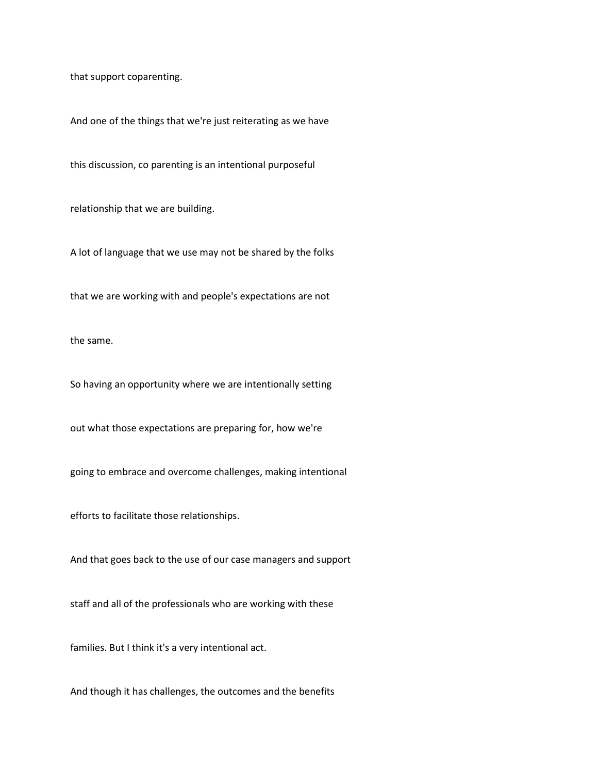that support coparenting.

And one of the things that we're just reiterating as we have

this discussion, co parenting is an intentional purposeful

relationship that we are building.

A lot of language that we use may not be shared by the folks

that we are working with and people's expectations are not

the same.

So having an opportunity where we are intentionally setting

out what those expectations are preparing for, how we're

going to embrace and overcome challenges, making intentional

efforts to facilitate those relationships.

And that goes back to the use of our case managers and support

staff and all of the professionals who are working with these

families. But I think it's a very intentional act.

And though it has challenges, the outcomes and the benefits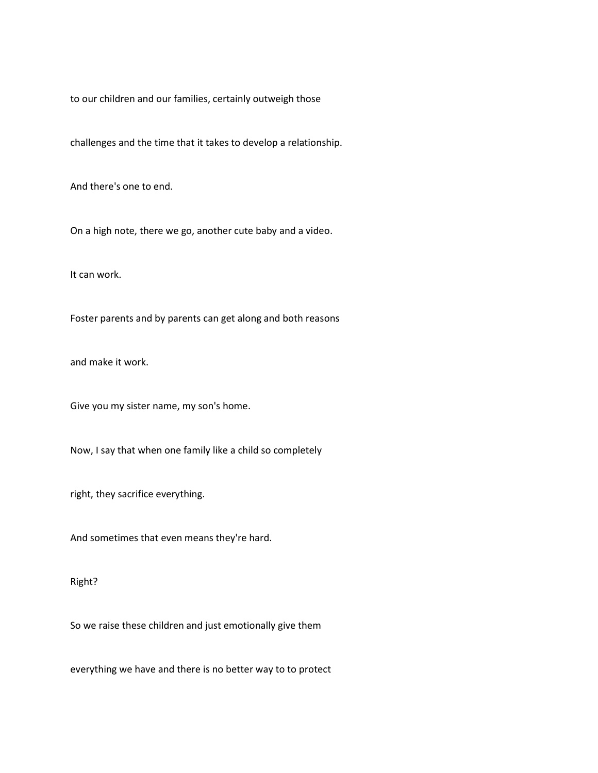to our children and our families, certainly outweigh those

challenges and the time that it takes to develop a relationship.

And there's one to end.

On a high note, there we go, another cute baby and a video.

It can work.

Foster parents and by parents can get along and both reasons

and make it work.

Give you my sister name, my son's home.

Now, I say that when one family like a child so completely

right, they sacrifice everything.

And sometimes that even means they're hard.

Right?

So we raise these children and just emotionally give them

everything we have and there is no better way to to protect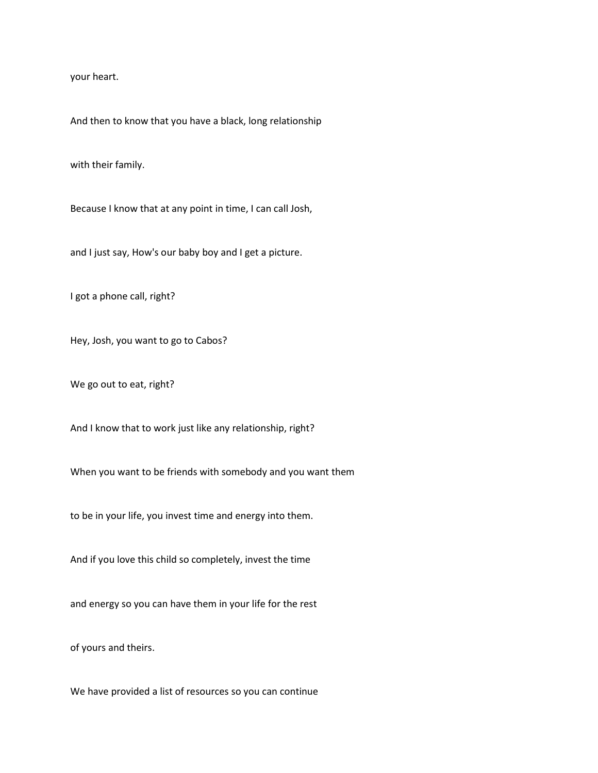your heart.

And then to know that you have a black, long relationship

with their family.

Because I know that at any point in time, I can call Josh,

and I just say, How's our baby boy and I get a picture.

I got a phone call, right?

Hey, Josh, you want to go to Cabos?

We go out to eat, right?

And I know that to work just like any relationship, right?

When you want to be friends with somebody and you want them

to be in your life, you invest time and energy into them.

And if you love this child so completely, invest the time

and energy so you can have them in your life for the rest

of yours and theirs.

We have provided a list of resources so you can continue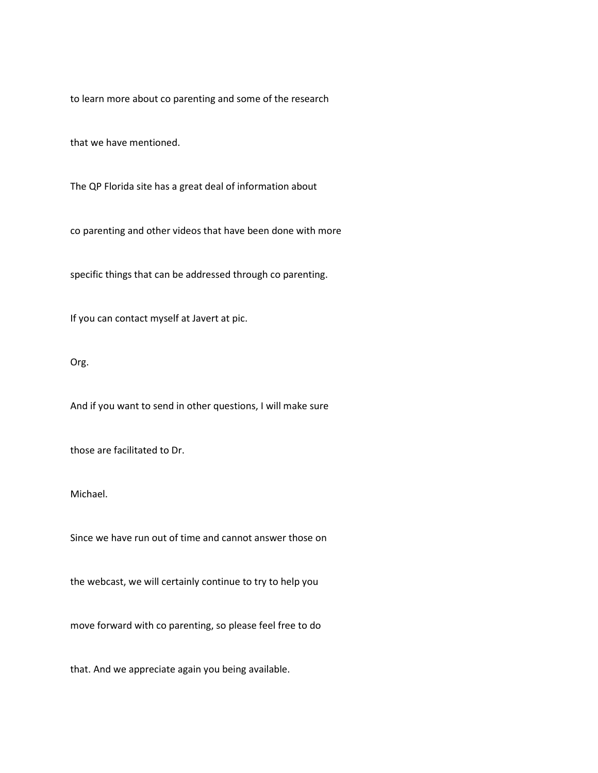to learn more about co parenting and some of the research

that we have mentioned.

The QP Florida site has a great deal of information about

co parenting and other videos that have been done with more

specific things that can be addressed through co parenting.

If you can contact myself at Javert at pic.

Org.

And if you want to send in other questions, I will make sure

those are facilitated to Dr.

Michael.

Since we have run out of time and cannot answer those on

the webcast, we will certainly continue to try to help you

move forward with co parenting, so please feel free to do

that. And we appreciate again you being available.